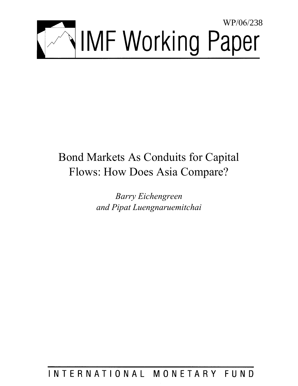

# Bond Markets As Conduits for Capital Flows: How Does Asia Compare?

*Barry Eichengreen and Pipat Luengnaruemitchai* 

INTERNATIONAL MONETARY FUND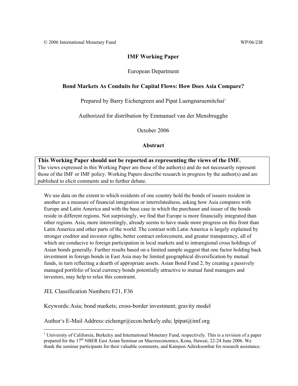#### **IMF Working Paper**

#### European Department

#### **Bond Markets As Conduits for Capital Flows: How Does Asia Compare?**

Prepared by Barry Eichengreen and Pipat Luengnaruemitchai<sup>1</sup>

Authorized for distribution by Emmanuel van der Mensbrugghe

October 2006

#### **Abstract**

**This Working Paper should not be reported as representing the views of the IMF.** The views expressed in this Working Paper are those of the author(s) and do not necessarily represent those of the IMF or IMF policy. Working Papers describe research in progress by the author(s) and are published to elicit comments and to further debate.

We use data on the extent to which residents of one country hold the bonds of issuers resident in another as a measure of financial integration or interrelatedness, asking how Asia compares with Europe and Latin America and with the base case in which the purchaser and issuer of the bonds reside in different regions. Not surprisingly, we find that Europe is more financially integrated than other regions. Asia, more interestingly, already seems to have made more progress on this front than Latin America and other parts of the world. The contrast with Latin America is largely explained by stronger creditor and investor rights, better contract enforcement, and greater transparency, all of which are conducive to foreign participation in local markets and to intraregional cross holdings of Asian bonds generally. Further results based on a limited sample suggest that one factor holding back investment in foreign bonds in East Asia may be limited geographical diversification by mutual funds, in turn reflecting a dearth of appropriate assets. Asian Bond Fund 2, by creating a passively managed portfolio of local currency bonds potentially attractive to mutual fund managers and investors, may help to relax this constraint.

JEL Classification Numbers: F21, F36

1

Keywords: Asia; bond markets; cross-border investment; gravity model

Author's E-Mail Address: eichengr@econ.berkely.edu; lpipat@imf.org

<sup>&</sup>lt;sup>1</sup> University of California, Berkeley and International Monetary Fund, respectively. This is a revision of a paper prepared for the 17<sup>th</sup> NBER East Asian Seminar on Macroeconomics, Kona, Hawaii, 22-24 June 2006. We thank the seminar participants for their valuable comments, and Kampon Adireksombat for research assistance.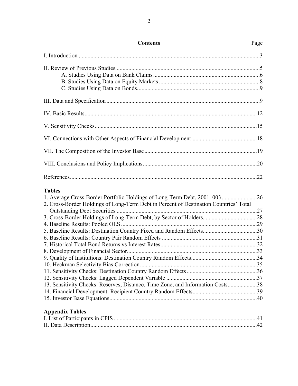| <b>Contents</b>                                                                                                                                                                                                                                                                                                                              | Page |
|----------------------------------------------------------------------------------------------------------------------------------------------------------------------------------------------------------------------------------------------------------------------------------------------------------------------------------------------|------|
|                                                                                                                                                                                                                                                                                                                                              |      |
|                                                                                                                                                                                                                                                                                                                                              |      |
|                                                                                                                                                                                                                                                                                                                                              |      |
|                                                                                                                                                                                                                                                                                                                                              |      |
|                                                                                                                                                                                                                                                                                                                                              |      |
|                                                                                                                                                                                                                                                                                                                                              |      |
|                                                                                                                                                                                                                                                                                                                                              |      |
|                                                                                                                                                                                                                                                                                                                                              |      |
|                                                                                                                                                                                                                                                                                                                                              |      |
| <b>Tables</b><br>1. Average Cross-Border Portfolio Holdings of Long-Term Debt, 2001-003 26<br>2. Cross-Border Holdings of Long-Term Debt in Percent of Destination Countries' Total<br>5. Baseline Results: Destination Country Fixed and Random Effects30<br>13. Sensitivity Checks: Reserves, Distance, Time Zone, and Information Costs38 |      |
| <b>Appendix Tables</b><br>I I ist of Dertisipents in CDIC                                                                                                                                                                                                                                                                                    | 41 T |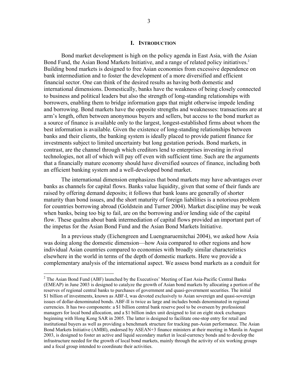#### **I. INTRODUCTION**

 Bond market development is high on the policy agenda in East Asia, with the Asian Bond Fund, the Asian Bond Markets Initiative, and a range of related policy initiatives.<sup>2</sup> Building bond markets is designed to free Asian economies from excessive dependence on bank intermediation and to foster the development of a more diversified and efficient financial sector. One can think of the desired results as having both domestic and international dimensions. Domestically, banks have the weakness of being closely connected to business and political leaders but also the strength of long-standing relationships with borrowers, enabling them to bridge information gaps that might otherwise impede lending and borrowing. Bond markets have the opposite strengths and weaknesses: transactions are at arm's length, often between anonymous buyers and sellers, but access to the bond market as a source of finance is available only to the largest, longest-established firms about whom the best information is available. Given the existence of long-standing relationships between banks and their clients, the banking system is ideally placed to provide patient finance for investments subject to limited uncertainty but long gestation periods. Bond markets, in contrast, are the channel through which creditors lend to enterprises investing in rival technologies, not all of which will pay off even with sufficient time. Such are the arguments that a financially mature economy should have diversified sources of finance, including both an efficient banking system and a well-developed bond market.

 The international dimension emphasizes that bond markets may have advantages over banks as channels for capital flows. Banks value liquidity, given that some of their funds are raised by offering demand deposits; it follows that bank loans are generally of shorter maturity than bond issues, and the short maturity of foreign liabilities is a notorious problem for countries borrowing abroad (Goldstein and Turner 2004). Market discipline may be weak when banks, being too big to fail, are on the borrowing and/or lending side of the capital flow. These qualms about bank intermediation of capital flows provided an important part of the impetus for the Asian Bond Fund and the Asian Bond Markets Initiative.

 In a previous study (Eichengreen and Luengnaruemitchai 2004), we asked how Asia was doing along the domestic dimension—how Asia compared to other regions and how individual Asian countries compared to economies with broadly similar characteristics elsewhere in the world in terms of the depth of domestic markets. Here we provide a complementary analysis of the international aspect. We assess bond markets as a conduit for

 $2^2$  The Asian Bond Fund (ABF) launched by the Executives' Meeting of East Asia-Pacific Central Banks (EMEAP) in June 2003 is designed to catalyze the growth of Asian bond markets by allocating a portion of the reserves of regional central banks to purchases of government and quasi-government securities. The initial \$1 billion of investments, known as ABF-I, was devoted exclusively to Asian sovereign and quasi-sovereign issues of dollar-denominated bonds. ABF-II is twice as large and includes bonds denominated in regional currencies. It has two components: a \$1 billion central bank reserve pool to be overseen by professional managers for local bond allocation, and a \$1 billion index unit designed to list on eight stock exchanges beginning with Hong Kong SAR in 2005. The latter is designed to facilitate one-stop entry for retail and institutional buyers as well as providing a benchmark structure for tracking pan-Asian performance. The Asian Bond Markets Initiative (AMBI), endorsed by ASEAN+3 finance ministers at their meeting in Manila in August 2003, is designed to foster an active and liquid secondary market in local-currency bonds and to develop the infrastructure needed for the growth of local bond markets, mainly through the activity of six working groups and a focal group intended to coordinate their activities.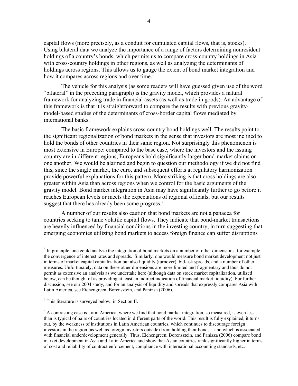capital flows (more precisely, as a conduit for cumulated capital flows, that is, stocks). Using bilateral data we analyze the importance of a range of factors determining nonresident holdings of a country's bonds, which permits us to compare cross-country holdings in Asia with cross-country holdings in other regions, as well as analyzing the determinants of holdings across regions. This allows us to gauge the extent of bond market integration and how it compares across regions and over time.<sup>3</sup>

The vehicle for this analysis (as some readers will have guessed given use of the word "bilateral" in the preceding paragraph) is the gravity model, which provides a natural framework for analyzing trade in financial assets (as well as trade in goods). An advantage of this framework is that it is straightforward to compare the results with previous gravitymodel-based studies of the determinants of cross-border capital flows mediated by international banks.<sup>4</sup>

The basic framework explains cross-country bond holdings well. The results point to the significant regionalization of bond markets in the sense that investors are most inclined to hold the bonds of other countries in their same region. Not surprisingly this phenomenon is most extensive in Europe: compared to the base case, where the investors and the issuing country are in different regions, Europeans hold significantly larger bond-market claims on one another. We would be alarmed and begin to question our methodology if we did not find this, since the single market, the euro, and subsequent efforts at regulatory harmonization provide powerful explanations for this pattern. More striking is that cross holdings are also greater within Asia than across regions when we control for the basic arguments of the gravity model. Bond market integration in Asia may have significantly further to go before it reaches European levels or meets the expectations of regional officials, but our results suggest that there has already been some progress.<sup>5</sup>

A number of our results also caution that bond markets are not a panacea for countries seeking to tame volatile capital flows. They indicate that bond-market transactions are heavily influenced by financial conditions in the investing country, in turn suggesting that emerging economies utilizing bond markets to access foreign finance can suffer disruptions

<sup>&</sup>lt;sup>3</sup> In principle, one could analyze the integration of bond markets on a number of other dimensions, for example the convergence of interest rates and spreads. Similarly, one would measure bond market development not just in terms of market capital capitalization but also liquidity (turnover), bid-ask spreads, and a number of other measures. Unfortunately, data on these other dimensions are more limited and fragmentary and thus do not permit as extensive an analysis as we undertake here (although data on stock market capitalization, utilized below, can be thought of as providing at least an indirect indication of financial market liquidity). For further discussion, see our 2004 study, and for an analysis of liquidity and spreads that expressly compares Asia with Latin America, see Eichengreen, Borensztein, and Panizza (2006).

<sup>4</sup> This literature is surveyed below, in Section II.

<sup>&</sup>lt;sup>5</sup> A contrasting case is Latin America, where we find that bond market integration, so measured, is even less than is typical of pairs of countries located in different parts of the world. This result is fully explained, it turns out, by the weakness of institutions in Latin American countries, which continues to discourage foreign investors in the region (as well as foreign investors outside) from holding their bonds—and which is associated with financial underdevelopment generally. Thus, Eichengreen, Borensztein, and Panizza (2006) compare bond market development in Asia and Latin America and show that Asian countries rank significantly higher in terms of cost and reliability of contract enforcement, compliance with international accounting standards, etc.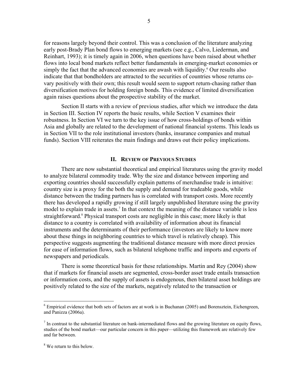for reasons largely beyond their control. This was a conclusion of the literature analyzing early post-Brady Plan bond flows to emerging markets (see e.g., Calvo, Liederman, and Reinhart, 1993); it is timely again in 2006, when questions have been raised about whether flows into local bond markets reflect better fundamentals in emerging-market economies or simply the fact that the advanced economies are awash with liquidity.<sup>6</sup> Our results also indicate that that bondholders are attracted to the securities of countries whose returns covary positively with their own; this result would seem to support return-chasing rather than diversification motives for holding foreign bonds. This evidence of limited diversification again raises questions about the prospective stability of the market.

Section II starts with a review of previous studies, after which we introduce the data in Section III. Section IV reports the basic results, while Section V examines their robustness. In Section VI we turn to the key issue of how cross-holdings of bonds within Asia and globally are related to the development of national financial systems. This leads us in Section VII to the role institutional investors (banks, insurance companies and mutual funds). Section VIII reiterates the main findings and draws out their policy implications.

#### **II. REVIEW OF PREVIOUS STUDIES**

 There are now substantial theoretical and empirical literatures using the gravity model to analyze bilateral commodity trade. Why the size and distance between importing and exporting countries should successfully explain patterns of merchandise trade is intuitive: country size is a proxy for the both the supply and demand for tradeable goods, while distance between the trading partners has is correlated with transport costs. More recently there has developed a rapidly growing if still largely unpublished literature using the gravity model to explain trade in assets.<sup>7</sup> In that context the meaning of the distance variable is less straightforward.<sup>8</sup> Physical transport costs are negligible in this case; more likely is that distance to a country is correlated with availability of information about its financial instruments and the determinants of their performance (investors are likely to know more about these things in neighboring countries to which travel is relatively cheap). This perspective suggests augmenting the traditional distance measure with more direct proxies for ease of information flows, such as bilateral telephone traffic and imports and exports of newspapers and periodicals.

There is some theoretical basis for these relationships. Martin and Rey (2004) show that if markets for financial assets are segmented, cross-border asset trade entails transaction or information costs, and the supply of assets is endogenous, then bilateral asset holdings are positively related to the size of the markets, negatively related to the transaction or

 $6$  Empirical evidence that both sets of factors are at work is in Buchanan (2005) and Borensztein, Eichengreen, and Panizza (2006a).

 $<sup>7</sup>$  In contrast to the substantial literature on bank-intermediated flows and the growing literature on equity flows,</sup> studies of the bond market—our particular concern in this paper—utilizing this framework are relatively few and far between.

<sup>&</sup>lt;sup>8</sup> We return to this below.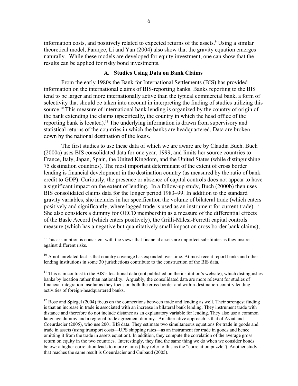information costs, and positively related to expected returns of the assets.<sup>9</sup> Using a similar theoretical model, Faraqee, Li and Yan (2004) also show that the gravity equation emerges naturally. While these models are developed for equity investment, one can show that the results can be applied for risky bond investments.

#### **A. Studies Using Data on Bank Claims**

From the early 1980s the Bank for International Settlements (BIS) has provided information on the international claims of BIS-reporting banks. Banks reporting to the BIS tend to be larger and more internationally active than the typical commercial bank, a form of selectivity that should be taken into account in interpreting the finding of studies utilizing this source.<sup>10</sup> This measure of international bank lending is organized by the country of origin of the bank extending the claims (specifically, the country in which the head office of the reporting bank is located).<sup>11</sup> The underlying information is drawn from supervisory and statistical returns of the countries in which the banks are headquartered. Data are broken down by the national destination of the loans.

The first studies to use these data of which we are aware are by Claudia Buch. Buch (2000a) uses BIS consolidated data for one year, 1999, and limits her source countries to France, Italy, Japan, Spain, the United Kingdom, and the United States (while distinguishing 75 destination countries). The most important determinant of the extent of cross border lending is financial development in the destination country (as measured by the ratio of bank credit to GDP). Curiously, the presence or absence of capital controls does not appear to have a significant impact on the extent of lending. In a follow-up study, Buch (2000b) then uses BIS consolidated claims data for the longer period 1983–99. In addition to the standard gravity variables, she includes in her specification the volume of bilateral trade (which enters positively and significantly, where lagged trade is used as an instrument for current trade). <sup>12</sup> She also considers a dummy for OECD membership as a measure of the differential effects of the Basle Accord (which enters positively), the Grilli-Milesi-Ferretti capital controls measure (which has a negative but quantitatively small impact on cross border bank claims),

<sup>&</sup>lt;sup>9</sup> This assumption is consistent with the views that financial assets are imperfect substitutes as they insure against different risks.

<sup>&</sup>lt;sup>10</sup> A not unrelated fact is that country coverage has expanded over time. At most recent report banks and other lending institutions in some 30 jurisdictions contribute to the construction of the BIS data.

 $11$  This is in contrast to the BIS's locational data (not published on the institution's website), which distinguishes banks by location rather than nationality. Arguably, the consolidated data are more relevant for studies of financial integration insofar as they focus on both the cross-border and within-destination-country lending activities of foreign-headquartered banks.

 $12$  Rose and Spiegel (2004) focus on the connections between trade and lending as well. Their strongest finding is that an increase in trade is associated with an increase in bilateral bank lending. They instrument trade with distance and therefore do not include distance as an explanatory variable for lending. They also use a common language dummy and a regional trade agreement dummy. An alternative approach is that of Aviat and Coeurdacier (2005), who use 2001 BIS data. They estimate two simultaneous equations for trade in goods and trade in assets (using transport costs—UPS shipping rates—as an instrument for trade in goods and hence omitting it from the trade in assets equation). In addition, they compute the correlation of the average gross return on equity in the two countries. Interestingly, they find the same thing we do when we consider bonds below: a higher correlation leads to more claims (they refer to this as the "correlation puzzle"). Another study that reaches the same result is Coeurdacier and Guibaud (2005).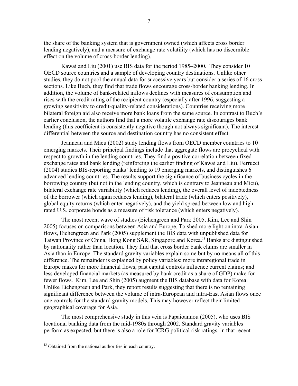the share of the banking system that is government owned (which affects cross border lending negatively), and a measure of exchange rate volatility (which has no discernible effect on the volume of cross-border lending).

Kawai and Liu (2001) use BIS data for the period 1985–2000. They consider 10 OECD source countries and a sample of developing country destinations. Unlike other studies, they do not pool the annual data for successive years but consider a series of 16 cross sections. Like Buch, they find that trade flows encourage cross-border banking lending. In addition, the volume of bank-related inflows declines with measures of consumption and rises with the credit rating of the recipient country (especially after 1996, suggesting a growing sensitivity to credit-quality-related considerations). Countries receiving more bilateral foreign aid also receive more bank loans from the same source. In contrast to Buch's earlier conclusion, the authors find that a more volatile exchange rate discourages bank lending (this coefficient is consistently negative though not always significant). The interest differential between the source and destination country has no consistent effect.

Jeanneau and Micu (2002) study lending flows from OECD member countries to 10 emerging markets. Their principal findings include that aggregate flows are procyclical with respect to growth in the lending countries. They find a positive correlation between fixed exchange rates and bank lending (reinforcing the earlier finding of Kawai and Liu). Ferrucci (2004) studies BIS-reporting banks' lending to 19 emerging markets, and distinguishes 6 advanced lending countries. The results support the significance of business cycles in the borrowing country (but not in the lending country, which is contrary to Jeanneau and Micu), bilateral exchange rate variability (which reduces lending), the overall level of indebtedness of the borrower (which again reduces lending), bilateral trade (which enters positively), global equity returns (which enter negatively), and the yield spread between low and high rated U.S. corporate bonds as a measure of risk tolerance (which enters negatively).

The most recent wave of studies (Eichengreen and Park 2005, Kim, Lee and Shin 2005) focuses on comparisons between Asia and Europe. To shed more light on intra-Asian flows, Eichengreen and Park (2005) supplement the BIS data with unpublished data for Taiwan Province of China, Hong Kong SAR, Singapore and Korea.13 Banks are distinguished by nationality rather than location. They find that cross border bank claims are smaller in Asia than in Europe. The standard gravity variables explain some but by no means all of this difference. The remainder is explained by policy variables: more intraregional trade in Europe makes for more financial flows; past capital controls influence current claims; and less developed financial markets (as measured by bank credit as a share of GDP) make for fewer flows. Kim, Lee and Shin (2005) augment the BIS database with data for Korea. Unlike Eichengreen and Park, they report results suggesting that there is no remaining significant difference between the volume of intra-European and intra-East Asian flows once one controls for the standard gravity models. This may however reflect their limited geographical coverage for Asia.

The most comprehensive study in this vein is Papaioannou (2005), who uses BIS locational banking data from the mid-1980s through 2002. Standard gravity variables perform as expected, but there is also a role for ICRG political risk ratings, in that recent

<sup>&</sup>lt;sup>13</sup> Obtained from the national authorities in each country.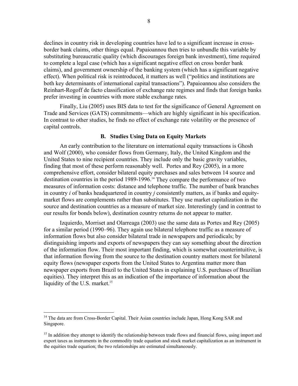declines in country risk in developing countries have led to a significant increase in crossborder bank claims, other things equal. Papaioannou then tries to unbundle this variable by substituting bureaucratic quality (which discourages foreign bank investment), time required to complete a legal case (which has a significant negative effect on cross border bank claims), and government ownership of the banking system (which has a significant negative effect). When political risk is reintroduced, it matters as well ("politics and institutions are both key determinants of international capital transactions"). Papaioannou also considers the Reinhart-Rogoff de facto classification of exchange rate regimes and finds that foreign banks prefer investing in countries with more stable exchange rates.

Finally, Liu (2005) uses BIS data to test for the significance of General Agreement on Trade and Services (GATS) commitments—which are highly significant in his specification. In contrast to other studies, he finds no effect of exchange rate volatility or the presence of capital controls.

#### **B. Studies Using Data on Equity Markets**

An early contribution to the literature on international equity transactions is Ghosh and Wolf (2000), who consider flows from Germany, Italy, the United Kingdom and the United States to nine recipient countries. They include only the basic gravity variables, finding that most of these perform reasonably well. Portes and Rey (2005), in a more comprehensive effort, consider bilateral equity purchases and sales between 14 source and destination countries in the period 1989-1996.14 They compare the performance of two measures of information costs: distance and telephone traffic. The number of bank branches in country *i* of banks headquartered in country *j* consistently matters, as if banks and equitymarket flows are complements rather than substitutes. They use market capitalization in the source and destination countries as a measure of market size. Interestingly (and in contrast to our results for bonds below), destination country returns do not appear to matter.

Izquierdo, Morriset and Olarreaga (2003) use the same data as Portes and Rey (2005) for a similar period (1990–96). They again use bilateral telephone traffic as a measure of information flows but also consider bilateral trade in newspapers and periodicals; by distinguishing imports and exports of newspapers they can say something about the direction of the information flow. Their most important finding, which is somewhat counterintuitive, is that information flowing from the source to the destination country matters most for bilateral equity flows (newspaper exports from the United States to Argentina matter more than newspaper exports from Brazil to the United States in explaining U.S. purchases of Brazilian equities). They interpret this as an indication of the importance of information about the liquidity of the U.S. market.<sup>15</sup>

<sup>&</sup>lt;sup>14</sup> The data are from Cross-Border Capital. Their Asian countries include Japan, Hong Kong SAR and Singapore.

<sup>&</sup>lt;sup>15</sup> In addition they attempt to identify the relationship between trade flows and financial flows, using import and export taxes as instruments in the commodity trade equation and stock market capitalization as an instrument in the equities trade equation; the two relationships are estimated simultaneously.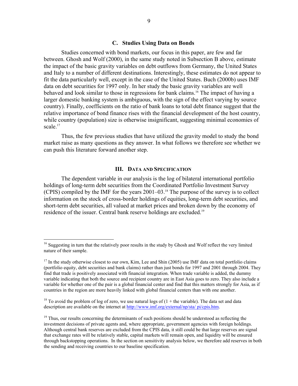#### **C. Studies Using Data on Bonds**

Studies concerned with bond markets, our focus in this paper, are few and far between. Ghosh and Wolf (2000), in the same study noted in Subsection B above, estimate the impact of the basic gravity variables on debt outflows from Germany, the United States and Italy to a number of different destinations. Interestingly, these estimates do not appear to fit the data particularly well, except in the case of the United States. Buch (2000b) uses IMF data on debt securities for 1997 only. In her study the basic gravity variables are well behaved and look similar to those in regressions for bank claims.16 The impact of having a larger domestic banking system is ambiguous, with the sign of the effect varying by source country). Finally, coefficients on the ratio of bank loans to total debt finance suggest that the relative importance of bond finance rises with the financial development of the host country, while country (population) size is otherwise insignificant, suggesting minimal economies of scale.<sup>17</sup>

 Thus, the few previous studies that have utilized the gravity model to study the bond market raise as many questions as they answer. In what follows we therefore see whether we can push this literature forward another step.

#### **III. DATA AND SPECIFICATION**

 The dependent variable in our analysis is the log of bilateral international portfolio holdings of long-term debt securities from the Coordinated Portfolio Investment Survey (CPIS) compiled by the IMF for the years 2001–03.18 The purpose of the survey is to collect information on the stock of cross-border holdings of equities, long-term debt securities, and short-term debt securities, all valued at market prices and broken down by the economy of residence of the issuer. Central bank reserve holdings are excluded.<sup>19</sup>

<sup>&</sup>lt;sup>16</sup> Suggesting in turn that the relatively poor results in the study by Ghosh and Wolf reflect the very limited nature of their sample.

 $17$  In the study otherwise closest to our own, Kim, Lee and Shin (2005) use IMF data on total portfolio claims (portfolio equity, debt securities and bank claims) rather than just bonds for 1997 and 2001 through 2004. They find that trade is positively associated with financial integration. When trade variable is added, the dummy variable indicating that both the source and recipient country are in East Asia goes to zero. They also include a variable for whether one of the pair is a global financial center and find that this matters strongly for Asia, as if countries in the region are more heavily linked with global financial centers than with one another.

<sup>&</sup>lt;sup>18</sup> To avoid the problem of log of zero, we use natural logs of  $(1 +$  the variable). The data set and data description are available on the internet at http://www.imf.org/external/np/sta/ pi/cpis.htm.

 $19$  Thus, our results concerning the determinants of such positions should be understood as reflecting the investment decisions of private agents and, where appropriate, government agencies with foreign holdings. Although central bank reserves are excluded from the CPIS data, it still could be that large reserves are signal that exchange rates will be relatively stable, capital markets will remain open, and liquidity will be ensured through backstopping operations. In the section on sensitivity analysis below, we therefore add reserves in both the sending and receiving countries to our baseline specification.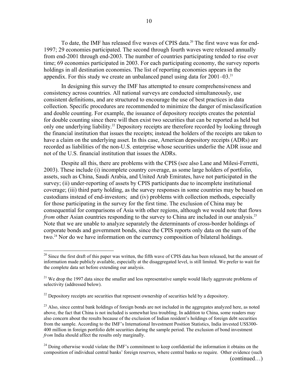To date, the IMF has released five waves of CPIS data.<sup>20</sup> The first wave was for end-1997; 29 economies participated. The second through fourth waves were released annually from end-2001 through end-2003. The number of countries participating tended to rise over time; 69 economies participated in 2003. For each participating economy, the survey reports holdings in all destination economies. The list of reporting economies appears in the appendix. For this study we create an unbalanced panel using data for  $2001-03$ <sup>21</sup>

 In designing this survey the IMF has attempted to ensure comprehensiveness and consistency across countries. All national surveys are conducted simultaneously, use consistent definitions, and are structured to encourage the use of best practices in data collection. Specific procedures are recommended to minimize the danger of misclassification and double counting. For example, the issuance of depository receipts creates the potential for double counting since there will then exist two securities that can be reported as held but only one underlying liability.<sup>22</sup> Depository receipts are therefore recorded by looking through the financial institution that issues the receipts; instead the holders of the receipts are taken to have a claim on the underlying asset. In this case, American depository receipts (ADRs) are recorded as liabilities of the non-U.S. enterprise whose securities underlie the ADR issue and not of the U.S. financial institution that issues the ADRs.

 Despite all this, there are problems with the CPIS (see also Lane and Milesi-Ferretti, 2003). These include (i) incomplete country coverage, as some large holders of portfolio, assets, such as China, Saudi Arabia, and United Arab Emirates, have not participated in the survey; (ii) under-reporting of assets by CPIS participants due to incomplete institutional coverage; (iii) third party holding, as the survey responses in some countries may be based on custodians instead of end-investors; and (iv) problems with collection methods, especially for those participating in the survey for the first time. The exclusion of China may be consequential for comparisons of Asia with other regions, although we would note that flows *from* other Asian countries responding to the survey to China are included in our analysis.<sup>23</sup> Note that we are unable to analyze separately the determinants of cross-border holdings of corporate bonds and government bonds, since the CPIS reports only data on the sum of the two.<sup>24</sup> Nor do we have information on the currency composition of bilateral holdings.

<sup>&</sup>lt;sup>20</sup> Since the first draft of this paper was written, the fifth wave of CPIS data has been released, but the amount of information made publicly available, especially at the disaggregated level, is still limited. We prefer to wait for the complete data set before extending our analysis.

 $21$  We drop the 1997 data since the smaller and less representative sample would likely aggravate problems of selectivity (addressed below).

 $22$  Depository receipts are securities that represent ownership of securities held by a depository.

<sup>&</sup>lt;sup>23</sup> Also, since central bank holdings of foreign bonds are not included in the aggregates analyzed here, as noted above, the fact that China is not included is somewhat less troubling. In addition to China, some readers may also concern about the results because of the exclusion of Indian resident's holdings of foreign debt securities from the sample. According to the IMF's International Investment Position Statistics, India invested US\$300- 400 million in foreign portfolio debt securities during the sample period. The exclusion of bond investment *from* India should affect the results only marginally.

 $^{24}$  Doing otherwise would violate the IMF's commitment to keep confidential the information it obtains on the composition of individual central banks' foreign reserves, where central banks so require. Other evidence (such (continued…)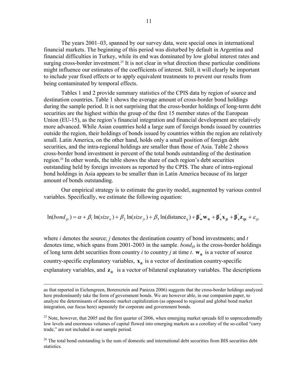The years 2001–03, spanned by our survey data, were special ones in international financial markets. The beginning of this period was disturbed by default in Argentina and financial difficulties in Turkey, while its end was dominated by low global interest rates and surging cross-border investment.<sup>25</sup> It is not clear in what direction these particular conditions might influence our estimates of the coefficients of interest. Still, it will clearly be important to include year fixed effects or to apply equivalent treatments to prevent our results from being contaminated by temporal effects.

Tables 1 and 2 provide summary statistics of the CPIS data by region of source and destination countries. Table 1 shows the average amount of cross-border bond holdings during the sample period. It is not surprising that the cross-border holdings of long-term debt securities are the highest within the group of the first 15 member states of the European Union (EU-15), as the region's financial integration and financial development are relatively more advanced. While Asian countries hold a large sum of foreign bonds issued by countries outside the region, their holdings of bonds issued by countries within the region are relatively small. Latin America, on the other hand, holds only a small position of foreign debt securities, and the intra-regional holdings are smaller than those of Asia. Table 2 shows cross-border bond investment in percent of the total bonds outstanding of the destination region.26 In other words, the table shows the share of each region's debt securities outstanding held by foreign investors as reported by the CPIS. The share of intra-regional bond holdings in Asia appears to be smaller than in Latin America because of its larger amount of bonds outstanding.

 Our empirical strategy is to estimate the gravity model, augmented by various control variables. Specifically, we estimate the following equation:

$$
\ln(bond_{ijt}) = \alpha + \beta_1 \ln(size_{it}) + \beta_2 \ln(size_{jt}) + \beta_3 \ln(distance_{ij}) + \beta_w w_{it} + \beta_x x_{jt} + \beta_z z_{ijt} + \varepsilon_{ijt}
$$

where *i* denotes the source; *j* denotes the destination country of bond investments; and *t* denotes time, which spans from 2001-2003 in the sample. *bond<sub>ijt</sub>* is the cross-border holdings of long term debt securities from country *i* to country *j* at time *t*.  $w_{it}$  is a vector of source country-specific explanatory variables,  $\mathbf{x}_{it}$  is a vector of destination country-specific explanatory variables, and  $z_{it}$  is a vector of bilateral explanatory variables. The descriptions

as that reported in Eichengreen, Borensztein and Panizza 2006) suggests that the cross-border holdings analyzed here predominantly take the form of government bonds. We are however able, in our companion paper, to analyze the determinants of domestic market capitalization (as opposed to regional and global bond market integration, our focus here) separately for corporate and government bonds.

<sup>&</sup>lt;sup>25</sup> Note, however, that 2005 and the first quarter of 2006, when emerging market spreads fell to unprecedentedly low levels and enormous volumes of capital flowed into emerging markets as a corollary of the so-called "carry trade," are not included in our sample period.

 $26$  The total bond outstanding is the sum of domestic and international debt securities from BIS securities debt statistics.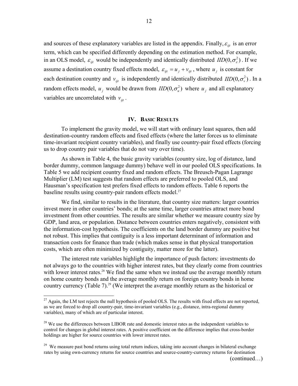and sources of these explanatory variables are listed in the appendix. Finally,  $\varepsilon_{ii}$  is an error term, which can be specified differently depending on the estimation method. For example, in an OLS model,  $\varepsilon_{ijt}$  would be independently and identically distributed  $ID(0, \sigma_{\varepsilon}^2)$ . If we assume a destination country fixed effects model,  $\varepsilon_{ijt} = u_j + v_{ijt}$ , where  $u_j$  is constant for each destination country and  $v_{ijt}$  is independently and identically distributed  $ID(0, \sigma_v^2)$ . In a random effects model,  $u_j$  would be drawn from  $IID(0, \sigma_u^2)$  where  $u_j$  and all explanatory variables are uncorrelated with  $v_{ii}$ .

#### **IV. BASIC RESULTS**

To implement the gravity model, we will start with ordinary least squares, then add destination-country random effects and fixed effects (where the latter forces us to eliminate time-invariant recipient country variables), and finally use country-pair fixed effects (forcing us to drop country pair variables that do not vary over time).

As shown in Table 4, the basic gravity variables (country size, log of distance, land border dummy, common language dummy) behave well in our pooled OLS specifications. In Table 5 we add recipient country fixed and random effects. The Breusch-Pagan Lagrange Multiplier (LM) test suggests that random effects are preferred to pooled OLS, and Hausman's specification test prefers fixed effects to random effects. Table 6 reports the baseline results using country-pair random effects model.<sup>27</sup>

We find, similar to results in the literature, that country size matters: larger countries invest more in other countries' bonds; at the same time, larger countries attract more bond investment from other countries. The results are similar whether we measure country size by GDP, land area, or population. Distance between countries enters negatively, consistent with the information-cost hypothesis. The coefficients on the land border dummy are positive but not robust. This implies that contiguity is a less important determinant of information and transaction costs for finance than trade (which makes sense in that physical transportation costs, which are often minimized by contiguity, matter more for the latter).

The interest rate variables highlight the importance of push factors: investments do not always go to the countries with higher interest rates, but they clearly come from countries with lower interest rates.<sup>28</sup> We find the same when we instead use the average monthly return on home country bonds and the average monthly return on foreign country bonds in home country currency (Table 7).<sup>29</sup> (We interpret the average monthly return as the historical or

 $^{27}$  Again, the LM test rejects the null hypothesis of pooled OLS. The results with fixed effects are not reported, as we are forced to drop all country-pair, time-invariant variables (e.g., distance, intra-regional dummy variables), many of which are of particular interest.

 $28$  We use the differences between LIBOR rate and domestic interest rates as the independent variables to control for changes in global interest rates. A positive coefficient on the difference implies that cross-border holdings are higher for source countries with lower interest rates.

<sup>&</sup>lt;sup>29</sup> We measure past bond returns using total return indices, taking into account changes in bilateral exchange rates by using own-currency returns for source countries and source-country-currency returns for destination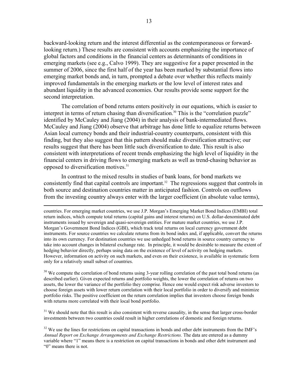backward-looking return and the interest differential as the contemporaneous or forwardlooking return.) These results are consistent with accounts emphasizing the importance of global factors and conditions in the financial centers as determinants of conditions in emerging markets (see e.g., Calvo 1999). They are suggestive for a paper presented in the summer of 2006, since the first half of the year has been marked by substantial flows into emerging market bonds and, in turn, prompted a debate over whether this reflects mainly improved fundamentals in the emerging markets or the low level of interest rates and abundant liquidity in the advanced economies. Our results provide some support for the second interpretation.

The correlation of bond returns enters positively in our equations, which is easier to interpret in terms of return chasing than diversification.<sup>30</sup> This is the "correlation puzzle" identified by McCauley and Jiang (2004) in their analysis of bank-intermediated flows. McCauley and Jiang (2004) observe that arbitrage has done little to equalize returns between Asian local currency bonds and their industrial-country counterparts, consistent with this finding, but they also suggest that this pattern should make diversification attractive; our results suggest that there has been little such diversification to date. This result is also consistent with interpretations of recent trends emphasizing the high level of liquidity in the financial centers in driving flows to emerging markets as well as trend-chasing behavior as opposed to diversification motives.31

In contrast to the mixed results in studies of bank loans, for bond markets we consistently find that capital controls are important.<sup>32</sup> The regressions suggest that controls in both source and destination countries matter in anticipated fashion. Controls on outflows from the investing country always enter with the larger coefficient (in absolute value terms),

 countries. For emerging market countries, we use J.P. Morgan's Emerging Market Bond Indices (EMBI) total return indices, which compute total returns (capital gains and interest returns) on U.S. dollar-denominated debt instruments issued by sovereign and quasi-sovereign entities. For mature market countries, we use J.P. Morgan's Government Bond Indices (GBI), which track total returns on local currency government debt instruments. For source countries we calculate returns from its bond index and, if applicable, convert the returns into its own currency. For destination countries we use unhedged bond returns in source country currency to take into account changes in bilateral exchange rate. In principle, it would be desirable to measure the extent of hedging behavior directly, perhaps using data on the existence of level of activity on hedging markets. However, information on activity on such markets, and even on their existence, is available in systematic form only for a relatively small subset of countries.

<sup>30</sup> We compute the correlation of bond returns using 3-year rolling correlation of the past total bond returns (as described earlier). Given expected returns and portfolio weights, the lower the correlation of returns on two assets, the lower the variance of the portfolio they comprise. Hence one would expect risk adverse investors to choose foreign assets with lower return correlation with their local portfolio in order to diversify and minimize portfolio risks. The positive coefficient on the return correlation implies that investors choose foreign bonds with returns more correlated with their local bond portfolio.

 $31$  We should note that this result is also consistent with reverse causality, in the sense that larger cross-border investments between two countries could result in higher correlations of domestic and foreign returns.

 $32$  We use the lines for restrictions on capital transactions in bonds and other debt instruments from the IMF's *Annual Report on Exchange Arrangements and Exchange Restrictions.* The data are entered as a dummy variable where "1" means there is a restriction on capital transactions in bonds and other debt instrument and "0" means there is not.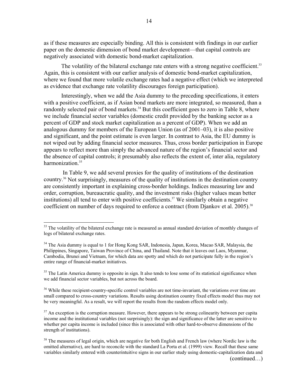as if these measures are especially binding. All this is consistent with findings in our earlier paper on the domestic dimension of bond market development—that capital controls are negatively associated with domestic bond-market capitalization.

The volatility of the bilateral exchange rate enters with a strong negative coefficient.<sup>33</sup> Again, this is consistent with our earlier analysis of domestic bond-market capitalization, where we found that more volatile exchange rates had a negative effect (which we interpreted as evidence that exchange rate volatility discourages foreign participation).

Interestingly, when we add the Asia dummy to the preceding specifications, it enters with a positive coefficient, as if Asian bond markets are more integrated, so measured, than a randomly selected pair of bond markets.<sup>34</sup> But this coefficient goes to zero in Table 8, where we include financial sector variables (domestic credit provided by the banking sector as a percent of GDP and stock market capitalization as a percent of GDP). When we add an analogous dummy for members of the European Union (as of 2001–03), it is also positive and significant, and the point estimate is even larger. In contrast to Asia, the EU dummy is not wiped out by adding financial sector measures. Thus, cross border participation in Europe appears to reflect more than simply the advanced nature of the region's financial sector and the absence of capital controls; it presumably also reflects the extent of, inter alia, regulatory harmonization.<sup>35</sup>

 In Table 9, we add several proxies for the quality of institutions of the destination country.36 Not surprisingly, measures of the quality of institutions in the destination country are consistently important in explaining cross-border holdings. Indices measuring law and order, corruption, bureaucratic quality, and the investment risks (higher values mean better institutions) all tend to enter with positive coefficients.<sup>37</sup> We similarly obtain a negative coefficient on number of days required to enforce a contract (from Djankov et al. 2005).<sup>38</sup>

 $\overline{a}$ 

<sup>36</sup> While these recipient-country-specific control variables are not time-invariant, the variations over time are small compared to cross-country variations. Results using destination country fixed effects model thus may not be very meaningful. As a result, we will report the results from the random effects model only.

 $37$  An exception is the corruption measure. However, there appears to be strong colinearity between per capita income and the institutional variables (not surprisingly): the sign and significance of the latter are sensitive to whether per capita income is included (since this is associated with other hard-to-observe dimensions of the strength of institutions).

<sup>&</sup>lt;sup>33</sup> The volatility of the bilateral exchange rate is measured as annual standard deviation of monthly changes of logs of bilateral exchange rates.

<sup>&</sup>lt;sup>34</sup> The Asia dummy is equal to 1 for Hong Kong SAR, Indonesia, Japan, Korea, Macao SAR, Malaysia, the Philippines, Singapore, Taiwan Province of China, and Thailand. Note that it leaves out Laos, Myanmar, Cambodia, Brunei and Vietnam, for which data are spotty and which do not participate fully in the region's entire range of financial-market initiatives.

 $35$  The Latin America dummy is opposite in sign. It also tends to lose some of its statistical significance when we add financial sector variables, but not across the board.

 $38$  The measures of legal origin, which are negative for both English and French law (where Nordic law is the omitted alternative), are hard to reconcile with the standard La Porta et al. (1999) view. Recall that these same variables similarly entered with counterintuitive signs in our earlier study using domestic-capitalization data and (continued…)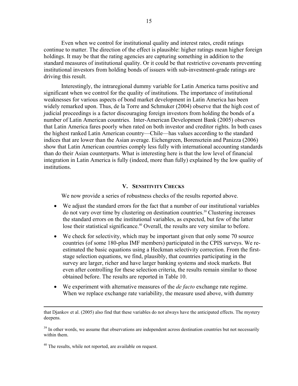Even when we control for institutional quality and interest rates, credit ratings continue to matter. The direction of the effect is plausible: higher ratings mean higher foreign holdings. It may be that the rating agencies are capturing something in addition to the standard measures of institutional quality. Or it could be that restrictive covenants preventing institutional investors from holding bonds of issuers with sub-investment-grade ratings are driving this result.

Interestingly, the intraregional dummy variable for Latin America turns positive and significant when we control for the quality of institutions. The importance of institutional weaknesses for various aspects of bond market development in Latin America has been widely remarked upon. Thus, de la Torre and Schmuker (2004) observe that the high cost of judicial proceedings is a factor discouraging foreign investors from holding the bonds of a number of Latin American countries. Inter-American Development Bank (2005) observes that Latin America fares poorly when rated on both investor and creditor rights. In both cases the highest ranked Latin American country—Chile—has values according to the standard indices that are lower than the Asian average. Eichengreen, Borensztein and Panizza (2006) show that Latin American countries comply less fully with international accounting standards than do their Asian counterparts. What is interesting here is that the low level of financial integration in Latin America is fully (indeed, more than fully) explained by the low quality of institutions.

#### **V. SENSITIVITY CHECKS**

We now provide a series of robustness checks of the results reported above.

- We adjust the standard errors for the fact that a number of our institutional variables do not vary over time by clustering on destination countries.39 Clustering increases the standard errors on the institutional variables, as expected, but few of the latter lose their statistical significance.<sup>40</sup> Overall, the results are very similar to before.
- We check for selectivity, which may be important given that only some 70 source countries (of some 180-plus IMF members) participated in the CPIS surveys. We reestimated the basic equations using a Heckman selectivity correction. From the firststage selection equations, we find, plausibly, that countries participating in the survey are larger, richer and have larger banking systems and stock markets. But even after controlling for these selection criteria, the results remain similar to those obtained before. The results are reported in Table 10.
- We experiment with alternative measures of the *de facto* exchange rate regime. When we replace exchange rate variability, the measure used above, with dummy

that Djankov et al. (2005) also find that these variables do not always have the anticipated effects. The mystery deepens.

 $39$  In other words, we assume that observations are independent across destination countries but not necessarily within them.

<sup>&</sup>lt;sup>40</sup> The results, while not reported, are available on request.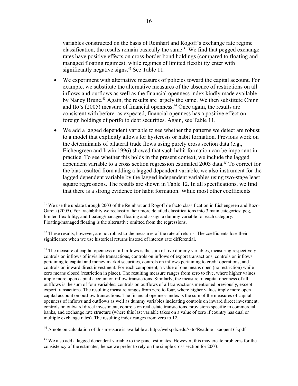variables constructed on the basis of Reinhart and Rogoff's exchange rate regime classification, the results remain basically the same.<sup> $41$ </sup> We find that pegged exchange rates have positive effects on cross-border bond holdings (compared to floating and managed floating regimes), while regimes of limited flexibility enter with significantly negative signs.<sup>42</sup> See Table 11.

- We experiment with alternative measures of policies toward the capital account. For example, we substitute the alternative measures of the absence of restrictions on all inflows and outflows as well as the financial openness index kindly made available by Nancy Brune.43 Again, the results are largely the same. We then substitute Chinn and Ito's (2005) measure of financial openness.44 Once again, the results are consistent with before: as expected, financial openness has a positive effect on foreign holdings of portfolio debt securities. Again, see Table 11.
- We add a lagged dependent variable to see whether the patterns we detect are robust to a model that explicitly allows for hysteresis or habit formation. Previous work on the determinants of bilateral trade flows using purely cross section data (e.g., Eichengreen and Irwin 1996) showed that such habit formation can be important in practice. To see whether this holds in the present context, we include the lagged dependent variable to a cross section regression estimated 2003 data.45 To correct for the bias resulted from adding a lagged dependent variable, we also instrument for the lagged dependent variable by the lagged independent variables using two-stage least square regressions. The results are shown in Table 12. In all specifications, we find that there is a strong evidence for habit formation. While most other coefficients

 $\overline{a}$ 

<sup>44</sup> A note on calculation of this measure is available at http://web.pdx.edu/~ito/Readme\_kaopen163.pdf

<sup>&</sup>lt;sup>41</sup> We use the update through 2003 of the Reinhart and Rogoff de facto classification in Eichengreen and Razo-Garcia (2005). For tractability we reclassify their more detailed classifications into 3 main categories: peg, limited flexibility, and floating/managed floating and assign a dummy variable for each category. Floating/managed floating is the alternative omitted from the regressions.

 $42$  These results, however, are not robust to the measures of the rate of returns. The coefficients lose their significance when we use historical returns instead of interest rate differential.

 $43$  The measure of capital openness of all inflows is the sum of five dummy variables, measuring respectively controls on inflows of invisible transactions, controls on inflows of export transactions, controls on inflows pertaining to capital and money market securities, controls on inflows pertaining to credit operations, and controls on inward direct investment. For each component, a value of one means open (no restriction) while zero means closed (restriction in place). The resulting measure ranges from zero to five, where higher values imply more open capital account on inflow transactions. Similarly, the measure of capital openness of all outflows is the sum of four variables: controls on outflows of all transactions mentioned previously, except export transactions. The resulting measure ranges from zero to four, where higher values imply more open capital account on outflow transactions. The financial openness index is the sum of the measures of capital openness of inflows and outflows as well as dummy variables indicating controls on inward direct investment, controls on outward direct investment, controls on real estate transactions, provisions specific to commercial banks, and exchange rate structure (where this last variable takes on a value of zero if country has dual or multiple exchange rates). The resulting index ranges from zero to 12.

<sup>&</sup>lt;sup>45</sup> We also add a lagged dependent variable to the panel estimates. However, this may create problems for the consistency of the estimates; hence we prefer to rely on the simple cross section for 2003.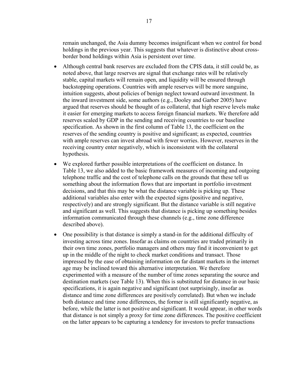remain unchanged, the Asia dummy becomes insignificant when we control for bond holdings in the previous year. This suggests that whatever is distinctive about crossborder bond holdings within Asia is persistent over time.

- Although central bank reserves are excluded from the CPIS data, it still could be, as noted above, that large reserves are signal that exchange rates will be relatively stable, capital markets will remain open, and liquidity will be ensured through backstopping operations. Countries with ample reserves will be more sanguine, intuition suggests, about policies of benign neglect toward outward investment. In the inward investment side, some authors (e.g., Dooley and Garber 2005) have argued that reserves should be thought of as collateral, that high reserve levels make it easier for emerging markets to access foreign financial markets. We therefore add reserves scaled by GDP in the sending and receiving countries to our baseline specification. As shown in the first column of Table 13, the coefficient on the reserves of the sending country is positive and significant; as expected, countries with ample reserves can invest abroad with fewer worries. However, reserves in the receiving country enter negatively, which is inconsistent with the collateral hypothesis.
- We explored further possible interpretations of the coefficient on distance. In Table 13, we also added to the basic framework measures of incoming and outgoing telephone traffic and the cost of telephone calls on the grounds that these tell us something about the information flows that are important in portfolio investment decisions, and that this may be what the distance variable is picking up. These additional variables also enter with the expected signs (positive and negative, respectively) and are strongly significant. But the distance variable is still negative and significant as well. This suggests that distance is picking up something besides information communicated through these channels (e.g., time zone difference described above).
- One possibility is that distance is simply a stand-in for the additional difficulty of investing across time zones. Insofar as claims on countries are traded primarily in their own time zones, portfolio managers and others may find it inconvenient to get up in the middle of the night to check market conditions and transact. Those impressed by the ease of obtaining information on far distant markets in the internet age may be inclined toward this alternative interpretation. We therefore experimented with a measure of the number of time zones separating the source and destination markets (see Table 13). When this is substituted for distance in our basic specifications, it is again negative and significant (not surprisingly, insofar as distance and time zone differences are positively correlated). But when we include both distance and time zone differences, the former is still significantly negative, as before, while the latter is not positive and significant. It would appear, in other words that distance is not simply a proxy for time zone differences. The positive coefficient on the latter appears to be capturing a tendency for investors to prefer transactions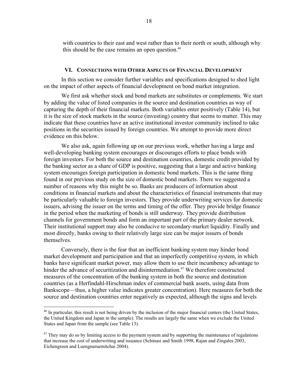with countries to their east and west rather than to their north or south, although why this should be the case remains an open question.<sup>46</sup>

#### **VI. CONNECTIONS WITH OTHER ASPECTS OF FINANCIAL DEVELOPMENT**

 In this section we consider further variables and specifications designed to shed light on the impact of other aspects of financial development on bond market integration.

 We first ask whether stock and bond markets are substitutes or complements. We start by adding the value of listed companies in the source and destination countries as way of capturing the depth of their financial markets. Both variables enter positively (Table 14), but it is the size of stock markets in the source (investing) country that seems to matter. This may indicate that these countries have an active institutional investor community inclined to take positions in the securities issued by foreign countries. We attempt to provide more direct evidence on this below.

We also ask, again following up on our previous work, whether having a large and well-developing banking system encourages or discourages efforts to place bonds with foreign investors. For both the source and destination countries, domestic credit provided by the banking sector as a share of GDP is positive, suggesting that a large and active banking system encourages foreign participation in domestic bond markets. This is the same thing found in our previous study on the size of domestic bond markets. There we suggested a number of reasons why this might be so. Banks are producers of information about conditions in financial markets and about the characteristics of financial instruments that may be particularly valuable to foreign investors. They provide underwriting services for domestic issuers, advising the issuer on the terms and timing of the offer. They provide bridge finance in the period when the marketing of bonds is still underway. They provide distribution channels for government bonds and form an important part of the primary dealer network. Their institutional support may also be conducive to secondary-market liquidity. Finally and most directly, banks owing to their relatively large size can be major issuers of bonds themselves.

Conversely, there is the fear that an inefficient banking system may hinder bond market development and participation and that an imperfectly competitive system, in which banks have significant market power, may allow them to use their incumbency advantage to hinder the advance of securitization and disintermediation.<sup>47</sup> We therefore constructed measures of the concentration of the banking system in both the source and destination countries (as a Herfindahl-Hirschman index of commercial bank assets, using data from Bankscope—thus, a higher value indicates greater concentration). Here measures for both the source and destination countries enter negatively as expected, although the signs and levels

<sup>&</sup>lt;sup>46</sup> In particular, this result is not being driven by the inclusion of the major financial centers (the United States, the United Kingdom and Japan in the sample). The results are largely the same when we exclude the United States and Japan from the sample (see Table 13).

 $47$  They may do so by limiting access to the payment system and by supporting the maintenance of regulations that increase the cost of underwriting and issuance (Schinasi and Smith 1998, Rajan and Zingales 2003, Eichengreen and Luengnaruemitchai 2004).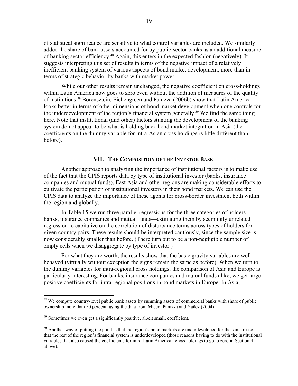of statistical significance are sensitive to what control variables are included. We similarly added the share of bank assets accounted for by public-sector banks as an additional measure of banking sector efficiency.48 Again, this enters in the expected fashion (negatively). It suggests interpreting this set of results in terms of the negative impact of a relatively inefficient banking system of various aspects of bond market development, more than in terms of strategic behavior by banks with market power.

While our other results remain unchanged, the negative coefficient on cross-holdings within Latin America now goes to zero even without the addition of measures of the quality of institutions.49 Borensztein, Eichengreen and Panizza (2006b) show that Latin America looks better in terms of other dimensions of bond market development when one controls for the underdevelopment of the region's financial system generally.<sup>50</sup> We find the same thing here. Note that institutional (and other) factors stunting the development of the banking system do not appear to be what is holding back bond market integration in Asia (the coefficients on the dummy variable for intra-Asian cross holdings is little different than before).

#### **VII. THE COMPOSITION OF THE INVESTOR BASE**

Another approach to analyzing the importance of institutional factors is to make use of the fact that the CPIS reports data by type of institutional investor (banks, insurance companies and mutual funds). East Asia and other regions are making considerable efforts to cultivate the participation of institutional investors in their bond markets. We can use the CPIS data to analyze the importance of these agents for cross-border investment both within the region and globally.

In Table 15 we run three parallel regressions for the three categories of holders banks, insurance companies and mutual funds—estimating them by seemingly unrelated regression to capitalize on the correlation of disturbance terms across types of holders for given country pairs. These results should be interpreted cautiously, since the sample size is now considerably smaller than before. (There turn out to be a non-negligible number of empty cells when we disaggregate by type of investor.)

For what they are worth, the results show that the basic gravity variables are well behaved (virtually without exception the signs remain the same as before). When we turn to the dummy variables for intra-regional cross holdings, the comparison of Asia and Europe is particularly interesting. For banks, insurance companies and mutual funds alike, we get large positive coefficients for intra-regional positions in bond markets in Europe. In Asia,

 $48$  We compute country-level public bank assets by summing assets of commercial banks with share of public ownership more than 50 percent, using the data from Micco, Panizza and Yañez (2004)

<sup>&</sup>lt;sup>49</sup> Sometimes we even get a significantly positive, albeit small, coefficient.

 $50$  Another way of putting the point is that the region's bond markets are underdeveloped for the same reasons that the rest of the region's financial system is underdeveloped (those reasons having to do with the institutional variables that also caused the coefficients for intra-Latin American cross holdings to go to zero in Section 4 above).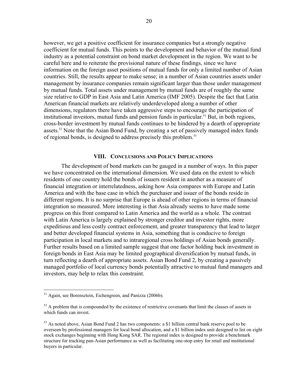however, we get a positive coefficient for insurance companies but a strongly negative coefficient for mutual funds. This points to the development and behavior of the mutual fund industry as a potential constraint on bond market development in the region. We want to be careful here and to reiterate the provisional nature of these findings, since we have information on the foreign asset positions of mutual funds for only a limited number of Asian countries. Still, the results appear to make sense; in a number of Asian countries assets under management by insurance companies remain significant larger than those under management by mutual funds. Total assets under management by mutual funds are of roughly the same size relative to GDP in East Asia and Latin America (IMF 2005). Despite the fact that Latin American financial markets are relatively underdeveloped along a number of other dimensions, regulators there have taken aggressive steps to encourage the participation of institutional investors, mutual funds and pension funds in particular.<sup>51</sup> But, in both regions, cross-border investment by mutual funds continues to be hindered by a dearth of appropriate assets.<sup>52</sup> Note that the Asian Bond Fund, by creating a set of passively managed index funds of regional bonds, is designed to address precisely this problem.<sup>53</sup>

#### **VIII. CONCLUSIONS AND POLICY IMPLICATIONS**

 The development of bond markets can be gauged in a number of ways. In this paper we have concentrated on the international dimension. We used data on the extent to which residents of one country hold the bonds of issuers resident in another as a measure of financial integration or interrelatedness, asking how Asia compares with Europe and Latin America and with the base case in which the purchaser and issuer of the bonds reside in different regions. It is no surprise that Europe is ahead of other regions in terms of financial integration so measured. More interesting is that Asia already seems to have made some progress on this front compared to Latin America and the world as a whole. The contrast with Latin America is largely explained by stronger creditor and investor rights, more expeditious and less costly contract enforcement, and greater transparency that lead to larger and better developed financial systems in Asia, something that is conducive to foreign participation in local markets and to intraregional cross holdings of Asian bonds generally. Further results based on a limited sample suggest that one factor holding back investment in foreign bonds in East Asia may be limited geographical diversification by mutual funds, in turn reflecting a dearth of appropriate assets. Asian Bond Fund 2, by creating a passively managed portfolio of local currency bonds potentially attractive to mutual fund managers and investors, may help to relax this constraint.

<sup>&</sup>lt;sup>51</sup> Again, see Borensztein, Eichengreen, and Panizza (2006b).

 $52$  A problem that is compounded by the existence of restrictive covenants that limit the classes of assets in which funds can invest.

 $53$  As noted above, Asian Bond Fund 2 has two components: a \$1 billion central bank reserve pool to be overseen by professional managers for local bond allocation, and a \$1 billion index unit designed to list on eight stock exchanges beginning with Hong Kong SAR. The regional index is designed to provide a benchmark structure for tracking pan-Asian performance as well as facilitating one-stop entry for retail and institutional buyers in particular.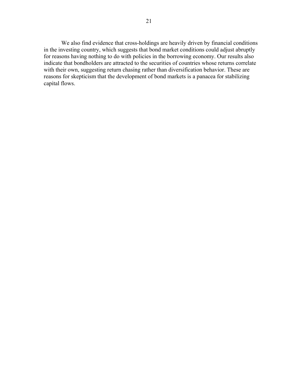We also find evidence that cross-holdings are heavily driven by financial conditions in the investing country, which suggests that bond market conditions could adjust abruptly for reasons having nothing to do with policies in the borrowing economy. Our results also indicate that bondholders are attracted to the securities of countries whose returns correlate with their own, suggesting return chasing rather than diversification behavior. These are reasons for skepticism that the development of bond markets is a panacea for stabilizing capital flows.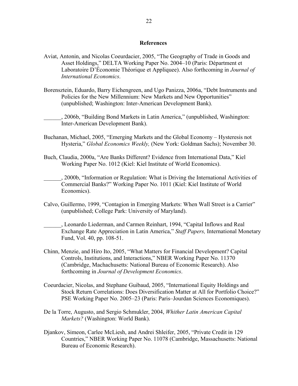#### **References**

- Aviat, Antonin, and Nicolas Coeurdacier, 2005, "The Geography of Trade in Goods and Asset Holdings," DELTA Working Paper No. 2004–10 (Paris: Départment et Laboratoire D'Économie Théorique et Appliquee). Also forthcoming in *Journal of International Economics*.
- Borensztein, Eduardo, Barry Eichengreen, and Ugo Panizza, 2006a, "Debt Instruments and Policies for the New Millennium: New Markets and New Opportunities" (unpublished; Washington: Inter-American Development Bank).
- \_\_\_\_\_\_, 2006b, "Building Bond Markets in Latin America," (unpublished, Washington: Inter-American Development Bank).
- Buchanan, Michael, 2005, "Emerging Markets and the Global Economy Hysteresis not Hysteria," *Global Economics Weekly,* (New York: Goldman Sachs); November 30.
- Buch, Claudia, 2000a, "Are Banks Different? Evidence from International Data," Kiel Working Paper No. 1012 (Kiel: Kiel Institute of World Economics).
- \_\_\_\_\_\_, 2000b, "Information or Regulation: What is Driving the International Activities of Commercial Banks?" Working Paper No. 1011 (Kiel: Kiel Institute of World Economics).
- Calvo, Guillermo, 1999, "Contagion in Emerging Markets: When Wall Street is a Carrier" (unpublished; College Park: University of Maryland).
- \_\_\_\_\_\_, Leonardo Liederman, and Carmen Reinhart, 1994, "Capital Inflows and Real Exchange Rate Appreciation in Latin America," *Staff Papers,* International Monetary Fund, Vol. 40, pp. 108-51.
- Chinn, Menzie, and Hiro Ito, 2005, "What Matters for Financial Development? Capital Controls, Institutions, and Interactions," NBER Working Paper No. 11370 (Cambridge, Machachusetts: National Bureau of Economic Research). Also forthcoming in *Journal of Development Economics*.
- Coeurdacier, Nicolas, and Stephane Guibaud, 2005, "International Equity Holdings and Stock Return Correlations: Does Diversification Matter at All for Portfolio Choice?" PSE Working Paper No. 2005–23 (Paris: Paris–Jourdan Sciences Economiques).
- De la Torre, Augusto, and Sergio Schmukler, 2004, *Whither Latin American Capital Markets?* (Washington: World Bank).
- Djankov, Simeon, Carlee McLiesh, and Andrei Shleifer, 2005, "Private Credit in 129 Countries," NBER Working Paper No. 11078 (Cambridge, Massachusetts: National Bureau of Economic Research).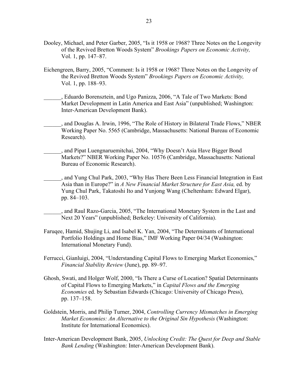- Dooley, Michael, and Peter Garber, 2005, "Is it 1958 or 1968? Three Notes on the Longevity of the Revived Bretton Woods System" *Brookings Papers on Economic Activity,*  Vol. 1, pp. 147–87.
- Eichengreen, Barry, 2005, "Comment: Is it 1958 or 1968? Three Notes on the Longevity of the Revived Bretton Woods System" *Brookings Papers on Economic Activity,*  Vol. 1, pp. 188–93.

\_\_\_\_\_\_, Eduardo Borensztein, and Ugo Panizza, 2006, "A Tale of Two Markets: Bond Market Development in Latin America and East Asia" (unpublished; Washington: Inter-American Development Bank).

- \_\_\_\_\_\_, and Douglas A. Irwin, 1996, "The Role of History in Bilateral Trade Flows," NBER Working Paper No. 5565 (Cambridge, Massachusetts: National Bureau of Economic Research).
- \_\_\_\_\_\_, and Pipat Luengnaruemitchai, 2004, "Why Doesn't Asia Have Bigger Bond Markets?" NBER Working Paper No. 10576 (Cambridge, Massachusetts: National Bureau of Economic Research).
- \_\_\_\_\_\_, and Yung Chul Park, 2003, "Why Has There Been Less Financial Integration in East Asia than in Europe?" in *A New Financial Market Structure for East Asia,* ed. by Yung Chul Park, Takatoshi Ito and Yunjong Wang (Cheltenham: Edward Elgar), pp. 84–103.

\_\_\_\_\_\_, and Raul Razo-Garcia, 2005, "The International Monetary System in the Last and Next 20 Years" (unpublished; Berkeley: University of California).

- Faruqee, Hamid, Shujing Li, and Isabel K. Yan, 2004, "The Determinants of International Portfolio Holdings and Home Bias," IMF Working Paper 04/34 (Washington: International Monetary Fund).
- Ferrucci, Gianluigi, 2004, "Understanding Capital Flows to Emerging Market Economies," *Financial Stability Review* (June), pp. 89–97.
- Ghosh, Swati, and Holger Wolf, 2000, "Is There a Curse of Location? Spatial Determinants of Capital Flows to Emerging Markets," in *Capital Flows and the Emerging Economies* ed. by Sebastian Edwards (Chicago: University of Chicago Press), pp. 137–158.
- Goldstein, Morris, and Philip Turner, 2004, *Controlling Currency Mismatches in Emerging Market Economies: An Alternative to the Original Sin Hypothesis* (Washington: Institute for International Economics).
- Inter-American Development Bank, 2005, *Unlocking Credit: The Quest for Deep and Stable Bank Lending* (Washington: Inter-American Development Bank).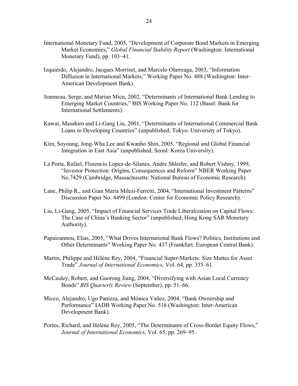- International Monetary Fund, 2005, "Development of Corporate Bond Markets in Emerging Market Economies," *Global Financial Stability Report* (Washington: International Monetary Fund), pp. 103–41.
- Izquierdo, Alejandro, Jacques Morriset, and Marcelo Olarreaga, 2003, "Information Diffusion in International Markets," Working Paper No. 488 (Washington: Inter-American Development Bank).
- Jeanneau, Serge, and Marian Micu, 2002, "Determinants of International Bank Lending to Emerging Market Countries," BIS Working Paper No. 112 (Basel: Bank for International Settlements).
- Kawai, Masahiro and Li-Gang Liu, 2001, "Determinants of International Commercial Bank Loans to Developing Countries" (unpublished; Tokyo: University of Tokyo).
- Kim, Soyoung, Jong-Wha Lee and Kwanho Shin, 2005, "Regional and Global Financial Integration in East Asia" (unpublished; Seoul: Korea University).
- La Porta, Rafael, Florencio Lopez-de-Silanes, Andre Shleifer, and Robert Vishny, 1999, "Investor Protection: Origins, Consequences and Reform" NBER Working Paper No.7429 (Cambridge, Massachusetts: National Bureau of Economic Research).
- Lane, Philip R., and Gian Maria Milesi-Ferretti, 2004, "International Investment Patterns" Discussion Paper No. 4499 (London: Center for Economic Policy Research).
- Liu, Li-Gang, 2005, "Impact of Financial Services Trade Liberalization on Capital Flows: The Case of China's Banking Sector" (unpublished; Hong Kong SAR Monetary Authority).
- Papaioannou, Elias, 2005, "What Drives International Bank Flows? Politics, Institutions and Other Determinants" Working Paper No. 437 (Frankfurt: European Central Bank).
- Martin, Philippe and Hélène Rey, 2004, "Financial Super-Markets: Size Mattes for Asset Trade" *Journal of International Economics,* Vol. 64, pp. 335–61.
- McCauley, Robert, and Guorong Jiang, 2004, "Diversifying with Asian Local Currency Bonds" *BIS Quarterly Review* (September), pp. 51–66.
- Micco, Alejandro, Ugo Panizza, and Mónica Yañez, 2004, "Bank Ownership and Performance" IADB Working Paper No. 518 (Washington: Inter-American Development Bank).
- Portes, Richard, and Hélène Rey, 2005, "The Determinants of Cross-Border Equity Flows," *Journal of International Economics,* Vol. 65, pp. 269–95.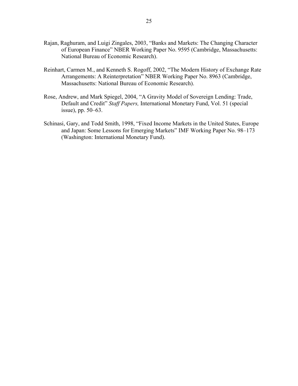- Rajan, Raghuram, and Luigi Zingales, 2003, "Banks and Markets: The Changing Character of European Finance" NBER Working Paper No. 9595 (Cambridge, Massachusetts: National Bureau of Economic Research).
- Reinhart, Carmen M., and Kenneth S. Rogoff, 2002, "The Modern History of Exchange Rate Arrangements: A Reinterpretation" NBER Working Paper No. 8963 (Cambridge, Massachusetts: National Bureau of Economic Research).
- Rose, Andrew, and Mark Spiegel, 2004, "A Gravity Model of Sovereign Lending: Trade, Default and Credit" *Staff Papers,* International Monetary Fund, Vol. 51 (special issue), pp. 50–63.
- Schinasi, Gary, and Todd Smith, 1998, "Fixed Income Markets in the United States, Europe and Japan: Some Lessons for Emerging Markets" IMF Working Paper No. 98–173 (Washington: International Monetary Fund).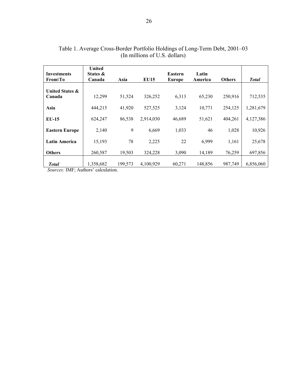| <b>Investments</b><br>$From \T0$     | <b>United</b><br>States &<br>Canada | Asia    | <b>EU15</b> | <b>Eastern</b><br>Europe | Latin<br>America | <b>Others</b> | <b>Total</b> |
|--------------------------------------|-------------------------------------|---------|-------------|--------------------------|------------------|---------------|--------------|
| <b>United States &amp;</b><br>Canada | 12,299                              | 51,524  | 326,252     | 6,313                    | 65,230           | 250,916       | 712,535      |
| Asia                                 | 444,215                             | 41,920  | 527,525     | 3,124                    | 10,771           | 254,125       | 1,281,679    |
| $EU-15$                              | 624,247                             | 86,538  | 2,914,030   | 46,689                   | 51,621           | 404,261       | 4,127,386    |
| <b>Eastern Europe</b>                | 2,140                               | 9       | 6,669       | 1,033                    | 46               | 1,028         | 10,926       |
| <b>Latin America</b>                 | 15,193                              | 78      | 2,225       | 22                       | 6,999            | 1,161         | 25,678       |
| <b>Others</b>                        | 260,587                             | 19,503  | 324,228     | 3,090                    | 14,189           | 76,259        | 697,856      |
| <b>Total</b>                         | 1,358,682                           | 199,573 | 4,100,929   | 60,271                   | 148,856          | 987,749       | 6,856,060    |

| Table 1. Average Cross-Border Portfolio Holdings of Long-Term Debt, 2001–03 |
|-----------------------------------------------------------------------------|
| (In millions of U.S. dollars)                                               |

 *Sources:* IMF; Authors' calculation.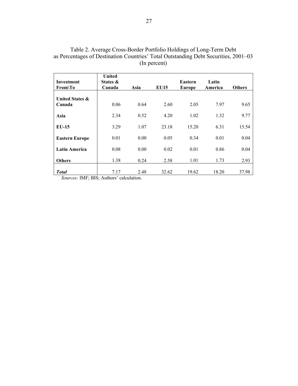| <b>Investment</b><br>$From \T0$      | <b>United</b><br>States &<br>Canada | Asia | <b>EU15</b> | Eastern<br>Europe | Latin<br>America | <b>Others</b> |
|--------------------------------------|-------------------------------------|------|-------------|-------------------|------------------|---------------|
| <b>United States &amp;</b><br>Canada | 0.06                                | 0.64 | 2.60        | 2.05              | 7.97             | 9.65          |
| Asia                                 | 2.34                                | 0.52 | 4.20        | 1.02              | 1.32             | 9.77          |
| $EU-15$                              | 3.29                                | 1.07 | 23.18       | 15.20             | 6.31             | 15.54         |
| <b>Eastern Europe</b>                | 0.01                                | 0.00 | 0.05        | 0.34              | 0.01             | 0.04          |
| <b>Latin America</b>                 | 0.08                                | 0.00 | 0.02        | 0.01              | 0.86             | 0.04          |
| <b>Others</b>                        | 1.38                                | 0.24 | 2.58        | 1.01              | 1.73             | 2.93          |
| <b>Total</b>                         | 7.17                                | 2.48 | 32.62       | 19.62             | 18.20            | 37.98         |

Table 2. Average Cross-Border Portfolio Holdings of Long-Term Debt as Percentages of Destination Countries' Total Outstanding Debt Securities, 2001–03 (In percent)

*Sources:* IMF; BIS; Authors' calculation.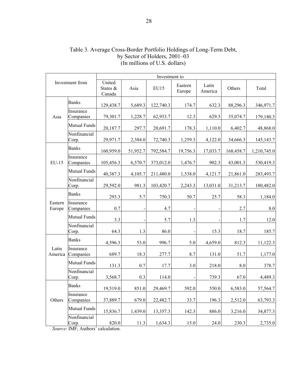|                   |                        |                              |          | Investment to |                   |                  |           |                    |
|-------------------|------------------------|------------------------------|----------|---------------|-------------------|------------------|-----------|--------------------|
|                   | Investment from        | United<br>States &<br>Canada | Asia     | <b>EU15</b>   | Eastern<br>Europe | Latin<br>America | Others    | Total              |
|                   | <b>Banks</b>           | 129,438.7                    | 5,689.3  | 122,740.3     | 174.7             | 632.3            | 88,296.3  | 346,971.7          |
| Asia              | Insurance<br>Companies | 79,301.7                     | 1,228.7  | 62,933.7      | 12.3              | 629.3            | 35,074.7  | 179,180.3          |
|                   | Mutual Funds           | 20,187.7                     | 297.7    | 20,691.7      | 178.3             | 1,110.0          | 6,402.7   | 48,868.0           |
|                   | Nonfinancial<br>Corp.  | 29,971.7                     | 2,384.0  | 72,740.3      | 1,259.3           | 4,122.0          | 34,666.3  | 145, 143. 7        |
|                   | <b>Banks</b>           | 160,959.0                    | 51,952.7 | 792,584.7     | 19,756.3          | 17,033.7         | 168,458.7 | 1,210,745.0        |
| $EU-15$           | Insurance<br>Companies | 105,456.3                    | 6,570.7  | 373,012.0     | 1,476.7           | 902.3            | 43,001.3  | 530,419.3          |
|                   | <b>Mutual Funds</b>    | 40,387.3                     | 4,105.7  | 211,480.0     | 1,538.0           | 4,121.7          | 21,861.0  | 283,493.7          |
|                   | Nonfinancial<br>Corp.  | 29,592.0                     | 981.3    | 103,420.7     | 2,243.3           | 13,031.0         | 31,213.7  | 180,482.0          |
|                   | <b>Banks</b>           | 293.3                        | 5.7      | 750.3         | 50.7              | 25.7             | 58.3      | 1,184.0            |
| Eastern<br>Europe | Insurance<br>Companies | 0.7                          |          | 4.7           |                   |                  | 2.7       | $\boldsymbol{8.0}$ |
|                   | <b>Mutual Funds</b>    | 3.3                          |          | 5.7           | 1.3               |                  | 1.7       | 12.0               |
|                   | Nonfinancial<br>Corp.  | 64.3                         | 1.3      | 86.0          |                   | 15.3             | 18.7      | 185.7              |
|                   | <b>Banks</b>           | 4,596.3                      | 53.0     | 996.7         | 5.0               | 4,659.0          | 812.3     | 11,122.3           |
| Latin<br>America  | Insurance<br>Companies | 689.7                        | 18.3     | 277.7         | 8.7               | 131.0            | 51.7      | 1,177.0            |
|                   | Mutual Funds           | 131.3                        | 0.7      | 17.7          | 3.0               | 218.0            | 8.0       | 378.7              |
|                   | Nonfinancial<br>Corp.  | 3,568.7                      | 0.3      | 114.0         |                   | 739.3            | 67.0      | 4,489.3            |
|                   | <b>Banks</b>           | 19,519.0                     | 851.0    | 29,469.7      | 592.0             | 550.0            | 6,583.0   | 57,564.7           |
| Others            | Insurance<br>Companies | 37,889.7                     | 679.0    | 22,482.7      | 33.7              | 196.3            | 2,512.0   | 63,793.3           |
|                   | <b>Mutual Funds</b>    | 15,836.7                     | 1,439.0  | 13,357.3      | 142.3             | 886.0            | 3,216.0   | 34,877.3           |
|                   | Nonfinancial<br>Corp.  | 820.0                        | 11.3     | 1,634.3       | 15.0              | 24.0             | 230.3     | 2,735.0            |

### Table 3. Average Cross-Border Portfolio Holdings of Long-Term Debt, by Sector of Holders, 2001–03 (In millions of U.S. dollars)

 *Source*: IMF; Authors' calculation.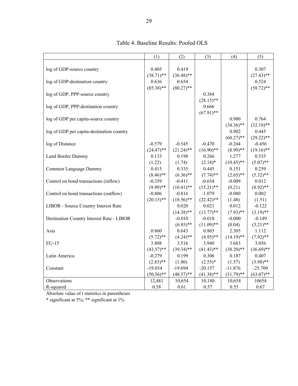|                                           | (1)          | (2)          | (3)          | (4)          | (5)          |
|-------------------------------------------|--------------|--------------|--------------|--------------|--------------|
|                                           |              |              |              |              |              |
| log of GDP-source country                 | 0.405        | 0.419        |              |              | 0.307        |
|                                           | $(38.71)$ ** | $(36.48)$ ** |              |              | $(27.43)$ ** |
| log of GDP-destination country            | 0.636        | 0.654        |              |              | 0.524        |
|                                           | $(85.38)$ ** | $(80.27)$ ** |              |              | $(58.72)$ ** |
| log of GDP, PPP-source country            |              |              | 0.384        |              |              |
|                                           |              |              | $(28.15)$ ** |              |              |
| log of GDP, PPP-destination country       |              |              | 0.666        |              |              |
|                                           |              |              | $(67.91)$ ** |              |              |
| log of GDP per capita-source country      |              |              |              | 0.900        | 0.764        |
|                                           |              |              |              | $(34.36)$ ** | $(32.18)$ ** |
| log of GDP per capita-destination country |              |              |              | 0.902        | 0.445        |
|                                           |              |              |              | $(60.27)$ ** | $(29.22)$ ** |
| log of Distance                           | $-0.579$     | $-0.545$     | $-0.470$     | $-0.244$     | $-0.456$     |
|                                           | $(24.47)$ ** | $(21.24)$ ** | $(16.90)$ ** | $(8.99)$ **  | $(19.16)$ ** |
| Land Border Dummy                         | 0.133        | 0.198        | 0.266        | 1.277        | 0.535        |
|                                           | (1.22)       | (1.74)       | $(2.18)*$    | $(10.45)$ ** | $(5.07)$ **  |
| Common Language Dummy                     | 0.415        | 0.335        | 0.445        | 0.151        | 0.259        |
|                                           | $(8.46)$ **  | $(6.36)$ **  | $(7.74)$ **  | $(2.65)$ **  | $(5.32)$ **  |
| Control on bond transactions (inflow)     | $-0.359$     | $-0.411$     | $-0.654$     | $-0.009$     | 0.012        |
|                                           | $(9.99)$ **  | $(10.41)$ ** | $(15.21)$ ** | (0.21)       | $(8.92)$ **  |
| Control on bond transactions (outflow)    | $-0.806$     | $-0.816$     | $-1.079$     | $-0.080$     | 0.002        |
|                                           | $(20.15)$ ** | $(18.56)$ ** | $(22.42)$ ** | (1.48)       | (1.51)       |
| LIBOR - Source Country Interest Rate      |              | 0.020        | 0.021        | 0.012        | $-0.122$     |
|                                           |              | $(14.38)$ ** | $(13.77)$ ** | $(7.93)$ **  | $(3.19)$ **  |
| Destination Country Interest Rate - LIBOR |              | $-0.010$     | $-0.018$     | $-0.000$     | $-0.149$     |
|                                           |              | $(6.85)$ **  | $(11.09)$ ** | (0.04)       | $(3.21)$ **  |
| Asia                                      | 0.860        | 0.643        | 0.803        | 2.305        | 1.112        |
|                                           | $(5.72)$ **  | $(4.24)$ **  | $(4.95)$ **  | $(14.19)$ ** | $(7.92)$ **  |
| EU-15                                     | 3.808        | 3.516        | 3.940        | 3.683        | 3.056        |
|                                           | $(43.57)$ ** | $(39.34)$ ** | $(41.43)$ ** | $(38.20)$ ** | $(36.69)$ ** |
| Latin America                             | $-0.279$     | 0.199        | 0.306        | 0.187        | 0.407        |
|                                           | $(2.83)$ **  | (1.80)       | $(2.55)*$    | (1.57)       | $(3.98)$ **  |
| Constant                                  | $-19.034$    | $-19.694$    | $-20.157$    | $-11.876$    | $-25.709$    |
|                                           | $(50.56)$ ** | $(48.57)$ ** | $(41.38)$ ** | $(31.79)$ ** | $(63.07)$ ** |
| Observations                              | 12,481       | 10,654       | 10,180       | 10,654       | 10654        |
| R-squared                                 | 0.58         | 0.61         | 0.57         | 0.55         | 0.67         |

Table 4. Baseline Results: Pooled OLS

Absolute value of t statistics in parentheses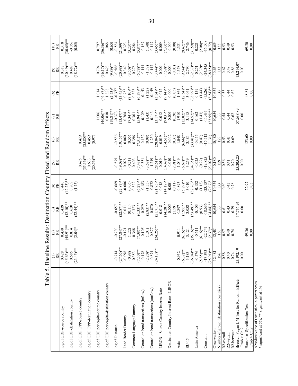| Table 5.                                                |                                                                                                                                      |                                                                  | Baseline Results: Destination                                                                            |                                                                                                                                                                                                                                                                                               | Country Fixed and Random Effects                                                                                                                                                                                                                                                                                                               |                                                                                                                          |                                                                                                                                                                                                                                                                                                                         |                                                                                                                                                                                                                                                                                                                                                                    |                                                                                                                                                                                                        |                                                                                                                                                                                                                                                                                          |
|---------------------------------------------------------|--------------------------------------------------------------------------------------------------------------------------------------|------------------------------------------------------------------|----------------------------------------------------------------------------------------------------------|-----------------------------------------------------------------------------------------------------------------------------------------------------------------------------------------------------------------------------------------------------------------------------------------------|------------------------------------------------------------------------------------------------------------------------------------------------------------------------------------------------------------------------------------------------------------------------------------------------------------------------------------------------|--------------------------------------------------------------------------------------------------------------------------|-------------------------------------------------------------------------------------------------------------------------------------------------------------------------------------------------------------------------------------------------------------------------------------------------------------------------|--------------------------------------------------------------------------------------------------------------------------------------------------------------------------------------------------------------------------------------------------------------------------------------------------------------------------------------------------------------------|--------------------------------------------------------------------------------------------------------------------------------------------------------------------------------------------------------|------------------------------------------------------------------------------------------------------------------------------------------------------------------------------------------------------------------------------------------------------------------------------------------|
|                                                         | RE<br>Ξ                                                                                                                              | 9E                                                               | $\mathfrak{S} \boxtimes$                                                                                 | €₩                                                                                                                                                                                                                                                                                            | $\mathfrak{S} \mathbb{E}$                                                                                                                                                                                                                                                                                                                      | ⊙⊞<br>E                                                                                                                  | $\mathbb{C} \mathbb{E}$                                                                                                                                                                                                                                                                                                 | ⊗⊞                                                                                                                                                                                                                                                                                                                                                                 | $\odot E$                                                                                                                                                                                              | $\widehat{c}$<br>EE                                                                                                                                                                                                                                                                      |
| log of GDP-source country                               |                                                                                                                                      |                                                                  | 6870                                                                                                     | 0.440                                                                                                                                                                                                                                                                                         |                                                                                                                                                                                                                                                                                                                                                |                                                                                                                          |                                                                                                                                                                                                                                                                                                                         |                                                                                                                                                                                                                                                                                                                                                                    | 0.317                                                                                                                                                                                                  | 0.318                                                                                                                                                                                                                                                                                    |
|                                                         |                                                                                                                                      |                                                                  | $(42.10)*$                                                                                               |                                                                                                                                                                                                                                                                                               |                                                                                                                                                                                                                                                                                                                                                |                                                                                                                          |                                                                                                                                                                                                                                                                                                                         |                                                                                                                                                                                                                                                                                                                                                                    |                                                                                                                                                                                                        | $(30.65)$ **                                                                                                                                                                                                                                                                             |
| log of GDP-destination country                          | $\overline{0.428}$<br>(45.63)**<br>0.585<br>0.585                                                                                    | $(45.91)$ <sup>**</sup><br>0.814<br>0.814<br>(2.04) <sup>*</sup> | $(22.44)$ **                                                                                             | $(42.25)$ **<br>0.809<br>(1.75)                                                                                                                                                                                                                                                               |                                                                                                                                                                                                                                                                                                                                                |                                                                                                                          |                                                                                                                                                                                                                                                                                                                         |                                                                                                                                                                                                                                                                                                                                                                    | $(30.49)$ **<br>0.489<br>(18.72)**                                                                                                                                                                     | $-0.068$<br>(0.05)                                                                                                                                                                                                                                                                       |
| log of GDP, PPP-source country                          |                                                                                                                                      |                                                                  |                                                                                                          |                                                                                                                                                                                                                                                                                               | 0.425                                                                                                                                                                                                                                                                                                                                          | 0.429                                                                                                                    |                                                                                                                                                                                                                                                                                                                         |                                                                                                                                                                                                                                                                                                                                                                    |                                                                                                                                                                                                        |                                                                                                                                                                                                                                                                                          |
|                                                         |                                                                                                                                      |                                                                  |                                                                                                          |                                                                                                                                                                                                                                                                                               | $(35.36)$ **                                                                                                                                                                                                                                                                                                                                   | $(35.80)**$                                                                                                              |                                                                                                                                                                                                                                                                                                                         |                                                                                                                                                                                                                                                                                                                                                                    |                                                                                                                                                                                                        |                                                                                                                                                                                                                                                                                          |
| log of GDP, PPP-destination country                     |                                                                                                                                      |                                                                  |                                                                                                          |                                                                                                                                                                                                                                                                                               | $(20.56)$ **                                                                                                                                                                                                                                                                                                                                   | 0.459<br>(0.97)                                                                                                          |                                                                                                                                                                                                                                                                                                                         |                                                                                                                                                                                                                                                                                                                                                                    |                                                                                                                                                                                                        |                                                                                                                                                                                                                                                                                          |
| log of GDP per capita-source country                    |                                                                                                                                      |                                                                  |                                                                                                          |                                                                                                                                                                                                                                                                                               |                                                                                                                                                                                                                                                                                                                                                |                                                                                                                          |                                                                                                                                                                                                                                                                                                                         |                                                                                                                                                                                                                                                                                                                                                                    |                                                                                                                                                                                                        | $0.797$<br>(36.36)**                                                                                                                                                                                                                                                                     |
| log of GDP per capita-destination country               |                                                                                                                                      |                                                                  |                                                                                                          |                                                                                                                                                                                                                                                                                               |                                                                                                                                                                                                                                                                                                                                                |                                                                                                                          | $\begin{array}{c} 1.006\\[-4pt] (46.06)**\\[-4pt] (19.81)**\\[-4pt] (19.81)**\\[-4pt] (19.81)**\\[-4pt] (19.81)**\\[-4pt] (19.81)**\\[-4pt] (19.81)**\\[-4pt] (19.81)**\\[-4pt] (19.81)**\\[-4pt] (19.81)**\\[-4pt] (19.81)**\\[-4pt] (19.81)**\\[-4pt] (19.81)**\\[-4pt] (19.81)**\\[-4pt] (19.81)**\\[-4pt] (19.81)*$ | $\begin{array}{l} 1014 \\ (46.87)^\ast\atop (13.28)^\ast \\ (13.28)^\ast \\ (13.29)^\ast \\ (13.29)^\ast \\ (13.21)^\ast \\ (13.22)^\ast \\ (13.23)^\ast \\ (13.21)^\ast \\ (13.22)^\ast \\ (13.21)^\ast \\ (13.22)^\ast \\ (13.23)^\ast \\ (13.24)^\ast \\ (13.25)^\ast \\ (13.25)^\ast \\ (13.26)^\ast \\ (13.27)^\ast \\ (13.28)^\ast \\ (13.29)^\ast \\ (13.2$ | $(36.17)$ **<br>$(36.17)$ **<br>0.423<br>0.89)**                                                                                                                                                       | 1.068                                                                                                                                                                                                                                                                                    |
| log of Distance                                         |                                                                                                                                      | $-0.730$<br>(27.84)**                                            |                                                                                                          | $-0.669$<br>(22.87)**                                                                                                                                                                                                                                                                         |                                                                                                                                                                                                                                                                                                                                                |                                                                                                                          |                                                                                                                                                                                                                                                                                                                         |                                                                                                                                                                                                                                                                                                                                                                    |                                                                                                                                                                                                        | (0.65)                                                                                                                                                                                                                                                                                   |
| Land Border Dummy                                       | $-0.714$<br>$(27.65)$ <sup>**</sup><br>$-0.098$<br>$(0.98)$<br>$(0.353)$<br>$(7.50)$ **                                              |                                                                  | $-0.657$<br>$(22.87)$ **<br>0.011<br>0.11)                                                               |                                                                                                                                                                                                                                                                                               | $-0.575$<br>$(19.09)$ **<br>$0.078$<br>$(0.71)$<br>$0.403$                                                                                                                                                                                                                                                                                     | $-0.586$<br>$(19.15)*$<br>$0.060$<br>$0.055$<br>$(7.31)*$<br>$-0.132$<br>$-0.132$<br>$-0.132$<br>$-0.132$                |                                                                                                                                                                                                                                                                                                                         |                                                                                                                                                                                                                                                                                                                                                                    |                                                                                                                                                                                                        |                                                                                                                                                                                                                                                                                          |
| Common Language Dummy                                   |                                                                                                                                      | $\begin{array}{c} (1.21) \\ (1.22) \\ (1.348) \\ (7.38)$ **      | 0.323                                                                                                    | $-0.006$<br>$(0.06)$                                                                                                                                                                                                                                                                          |                                                                                                                                                                                                                                                                                                                                                |                                                                                                                          |                                                                                                                                                                                                                                                                                                                         |                                                                                                                                                                                                                                                                                                                                                                    |                                                                                                                                                                                                        |                                                                                                                                                                                                                                                                                          |
|                                                         |                                                                                                                                      |                                                                  | $(6.33)**$                                                                                               | $0.322$<br>$(6.27)$ **                                                                                                                                                                                                                                                                        |                                                                                                                                                                                                                                                                                                                                                |                                                                                                                          |                                                                                                                                                                                                                                                                                                                         |                                                                                                                                                                                                                                                                                                                                                                    |                                                                                                                                                                                                        |                                                                                                                                                                                                                                                                                          |
| Control on bond transactions (inflow)                   |                                                                                                                                      |                                                                  |                                                                                                          |                                                                                                                                                                                                                                                                                               |                                                                                                                                                                                                                                                                                                                                                |                                                                                                                          |                                                                                                                                                                                                                                                                                                                         |                                                                                                                                                                                                                                                                                                                                                                    |                                                                                                                                                                                                        |                                                                                                                                                                                                                                                                                          |
| Control on bond transactions (outflow)                  | $(2.20)*$<br>$(2.20)*$<br>$-0.874$<br>$(24.17)**$                                                                                    | $-0.105$<br>$(1.01)$<br>$-0.877$<br>$(24.25)$ **                 | $(2.83)$ <sup>**</sup><br>$(2.83)$ <sup>**</sup><br>$(0.870$<br>$-0.870$<br>$(21.71)$ **<br>$(20.18)$ ** |                                                                                                                                                                                                                                                                                               |                                                                                                                                                                                                                                                                                                                                                |                                                                                                                          |                                                                                                                                                                                                                                                                                                                         |                                                                                                                                                                                                                                                                                                                                                                    |                                                                                                                                                                                                        |                                                                                                                                                                                                                                                                                          |
|                                                         |                                                                                                                                      |                                                                  |                                                                                                          |                                                                                                                                                                                                                                                                                               |                                                                                                                                                                                                                                                                                                                                                |                                                                                                                          |                                                                                                                                                                                                                                                                                                                         |                                                                                                                                                                                                                                                                                                                                                                    |                                                                                                                                                                                                        |                                                                                                                                                                                                                                                                                          |
| LIBOR - Source Country Interest Rate                    |                                                                                                                                      |                                                                  |                                                                                                          |                                                                                                                                                                                                                                                                                               |                                                                                                                                                                                                                                                                                                                                                |                                                                                                                          |                                                                                                                                                                                                                                                                                                                         |                                                                                                                                                                                                                                                                                                                                                                    |                                                                                                                                                                                                        |                                                                                                                                                                                                                                                                                          |
| Destination Country Interest Rate - LIBOR               |                                                                                                                                      |                                                                  |                                                                                                          | $\begin{array}{l} (1.83)\\ (1.55)\\ (1.56)\\ (21.75)\\ (14.17)\\ (14.17)\\ (14.17)\\ (10.01)\\ (10.01)\\ (10.01)\\ (10.01)\\ (10.01)\\ (10.01)\\ (10.01)\\ (10.01)\\ (10.01)\\ (10.01)\\ (11.01)\\ (12.01)\\ (12.01)\\ (12.01)\\ (12.01)\\ (12.01)\\ (12.01)\\ (12.01)\\ (12.01)\\ (12.01)\\$ | $\begin{array}{l} (7.43) \\ (7.43) \\ (3.51) \\ (3.50) \\ (2.81) \\ (2.81) \\ (3.9) \\ (3.9) \\ (3.9) \\ (3.9) \\ (3.9) \\ (3.9) \\ (3.9) \\ (3.9) \\ (3.9) \\ (3.9) \\ (3.9) \\ (3.9) \\ (3.9) \\ (3.9) \\ (3.9) \\ (3.9) \\ (3.9) \\ (3.9) \\ (3.9) \\ (3.9) \\ (3.9) \\ (3.9) \\ (3.9) \\ (3.9) \\ (3.9) \\ (3.9) \\ (3.9) \\ (3.9) \\ (3.$ | $(14.51)$<br>$(14.51)$<br>$(0.02)$<br>$(0.37)$<br>$(0.66)$<br>$(0.66)$<br>$(3.181)$<br>$(3.41)$<br>$(0.055)$<br>$(0.47)$ |                                                                                                                                                                                                                                                                                                                         |                                                                                                                                                                                                                                                                                                                                                                    | $(3.56)\n(3.98)\n(3.99)\n(3.90)\n(3.90)\n(3.90)\n(3.90)\n(3.90)\n(3.90)\n(3.90)\n(3.90)\n(3.90)\n(3.90)\n(3.90)\n(3.90)\n(3.90)\n(3.90)\n(3.90)\n(3.90)\n(3.90)\n(3.90)\n(3.90)\n(3.90)\n(3.90)\n(3.9$ | $(21.09)_{**}^{**}$ $(3.23)_{**}^{**}$ $(3.23)_{**}^{**}$ $(3.23)_{**}^{**}$ $(3.23)_{**}^{**}$ $(3.23)_{**}^{**}$ $(3.23)_{**}^{**}$ $(3.23)_{**}^{**}$ $(3.23)_{**}^{**}$ $(3.23)_{**}^{**}$ $(3.23)_{**}^{**}$ $(3.23)_{**}^{**}$ $(3.23)_{**}^{**}$ $(3.23)_{**}^{**}$ $(3.23)_{**}$ |
| Asia                                                    |                                                                                                                                      |                                                                  | $(1.59)$<br>$(1.59)$<br>$(3.95)$<br>$(3.95)$<br>$(3.95)$<br>$(3.49)$<br>$(3.103)$                        |                                                                                                                                                                                                                                                                                               |                                                                                                                                                                                                                                                                                                                                                |                                                                                                                          |                                                                                                                                                                                                                                                                                                                         |                                                                                                                                                                                                                                                                                                                                                                    |                                                                                                                                                                                                        |                                                                                                                                                                                                                                                                                          |
|                                                         |                                                                                                                                      | $0.911$<br>$(6.16)$ **                                           |                                                                                                          |                                                                                                                                                                                                                                                                                               |                                                                                                                                                                                                                                                                                                                                                |                                                                                                                          |                                                                                                                                                                                                                                                                                                                         |                                                                                                                                                                                                                                                                                                                                                                    |                                                                                                                                                                                                        |                                                                                                                                                                                                                                                                                          |
| EU-15                                                   |                                                                                                                                      | $3.121$<br>(35.16)**                                             |                                                                                                          |                                                                                                                                                                                                                                                                                               |                                                                                                                                                                                                                                                                                                                                                |                                                                                                                          |                                                                                                                                                                                                                                                                                                                         |                                                                                                                                                                                                                                                                                                                                                                    |                                                                                                                                                                                                        |                                                                                                                                                                                                                                                                                          |
| Latin America                                           |                                                                                                                                      |                                                                  |                                                                                                          |                                                                                                                                                                                                                                                                                               |                                                                                                                                                                                                                                                                                                                                                |                                                                                                                          |                                                                                                                                                                                                                                                                                                                         |                                                                                                                                                                                                                                                                                                                                                                    |                                                                                                                                                                                                        |                                                                                                                                                                                                                                                                                          |
|                                                         |                                                                                                                                      | $-0.611$<br>$(6.16)$ <sup>**</sup><br>$-22.747$                  |                                                                                                          |                                                                                                                                                                                                                                                                                               |                                                                                                                                                                                                                                                                                                                                                |                                                                                                                          |                                                                                                                                                                                                                                                                                                                         |                                                                                                                                                                                                                                                                                                                                                                    |                                                                                                                                                                                                        |                                                                                                                                                                                                                                                                                          |
| Constant                                                | $(6.32)$ **<br>$(6.32)$ **<br>$3.183$<br>$(36.04)$ **<br>$(36.64)$ **<br>$(5.85)$ **<br>$(17.393)$                                   | $(2.37)*$                                                        | $(24.84)$ **<br>$-18.636$                                                                                | $(1.18)$<br>-23.137                                                                                                                                                                                                                                                                           | $(23.02)$ **                                                                                                                                                                                                                                                                                                                                   |                                                                                                                          | $(23.55)$ *<br>$-11.431$                                                                                                                                                                                                                                                                                                | $(1.44)$<br>-15.261<br>(3.54)**                                                                                                                                                                                                                                                                                                                                    | $-24.345$<br>(38.15)**                                                                                                                                                                                 |                                                                                                                                                                                                                                                                                          |
| Observations                                            |                                                                                                                                      |                                                                  | 10,654                                                                                                   | $(2.07)*$<br>10,654                                                                                                                                                                                                                                                                           |                                                                                                                                                                                                                                                                                                                                                | 10,180<br>(1.31)                                                                                                         |                                                                                                                                                                                                                                                                                                                         |                                                                                                                                                                                                                                                                                                                                                                    | 10,654                                                                                                                                                                                                 | 10,654                                                                                                                                                                                                                                                                                   |
| Number of group (destination countries)                 |                                                                                                                                      | 12,481<br>156                                                    | 133                                                                                                      | 133                                                                                                                                                                                                                                                                                           | 10,180<br>129                                                                                                                                                                                                                                                                                                                                  | 129                                                                                                                      | 10,654<br>133                                                                                                                                                                                                                                                                                                           | 10,654<br>133                                                                                                                                                                                                                                                                                                                                                      | 133                                                                                                                                                                                                    | 133                                                                                                                                                                                                                                                                                      |
| R2-overall                                              |                                                                                                                                      | 0.57                                                             | 0.61                                                                                                     | 0.60                                                                                                                                                                                                                                                                                          | 0.56                                                                                                                                                                                                                                                                                                                                           | 0.53                                                                                                                     | 0.54                                                                                                                                                                                                                                                                                                                    | 0.53                                                                                                                                                                                                                                                                                                                                                               | 0.67                                                                                                                                                                                                   | 0.53                                                                                                                                                                                                                                                                                     |
| R2-between<br>R2-within                                 |                                                                                                                                      | $0.40$<br>$0.74$                                                 | 0.43                                                                                                     | $0.43$<br>$0.78$                                                                                                                                                                                                                                                                              | 0.70<br>0.41                                                                                                                                                                                                                                                                                                                                   | $0.41$<br>0.69                                                                                                           | 0.44<br>0.62                                                                                                                                                                                                                                                                                                            | $0.44$<br>0.62                                                                                                                                                                                                                                                                                                                                                     | 64.0<br>0.86                                                                                                                                                                                           | $0.49$<br>$0.53$                                                                                                                                                                                                                                                                         |
|                                                         |                                                                                                                                      |                                                                  | 17,716.94                                                                                                |                                                                                                                                                                                                                                                                                               | 25,205.25                                                                                                                                                                                                                                                                                                                                      |                                                                                                                          | 57,638.89                                                                                                                                                                                                                                                                                                               |                                                                                                                                                                                                                                                                                                                                                                    | 13,214.0                                                                                                                                                                                               |                                                                                                                                                                                                                                                                                          |
| Breusch-Pagan LM Test for Random Effects<br>Prob > Chi2 | $\begin{array}{r} \boxed{12,481} \\ -156 \\ \boxed{156} \\ 0.58 \\ \boxed{0.40} \\ 0.40 \\ \boxed{25,192.19} \\ 0.00 \\ \end{array}$ |                                                                  | 0.00                                                                                                     |                                                                                                                                                                                                                                                                                               | 0.00                                                                                                                                                                                                                                                                                                                                           |                                                                                                                          | 0.00                                                                                                                                                                                                                                                                                                                    |                                                                                                                                                                                                                                                                                                                                                                    |                                                                                                                                                                                                        |                                                                                                                                                                                                                                                                                          |
| Hausman Specification Test<br>Prob > Child              |                                                                                                                                      | 0.00                                                             |                                                                                                          | $\begin{array}{c} 2.97 \\ 0.03 \end{array}$                                                                                                                                                                                                                                                   |                                                                                                                                                                                                                                                                                                                                                | 123.60<br>0.00                                                                                                           |                                                                                                                                                                                                                                                                                                                         | 48.81<br>0.00                                                                                                                                                                                                                                                                                                                                                      |                                                                                                                                                                                                        | 69.50<br>0.00                                                                                                                                                                                                                                                                            |
| Absolute value of t statistics in parentheses           |                                                                                                                                      |                                                                  |                                                                                                          |                                                                                                                                                                                                                                                                                               |                                                                                                                                                                                                                                                                                                                                                |                                                                                                                          |                                                                                                                                                                                                                                                                                                                         |                                                                                                                                                                                                                                                                                                                                                                    |                                                                                                                                                                                                        |                                                                                                                                                                                                                                                                                          |
| * significant at 5%; ** significant at 1%               |                                                                                                                                      |                                                                  |                                                                                                          |                                                                                                                                                                                                                                                                                               |                                                                                                                                                                                                                                                                                                                                                |                                                                                                                          |                                                                                                                                                                                                                                                                                                                         |                                                                                                                                                                                                                                                                                                                                                                    |                                                                                                                                                                                                        |                                                                                                                                                                                                                                                                                          |

30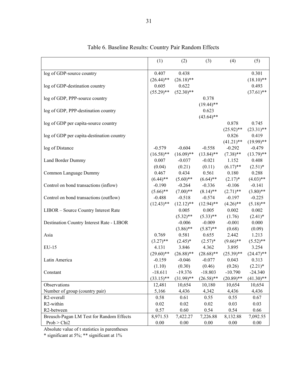|                                           | (1)          | (2)          | (3)          | (4)          | (5)          |
|-------------------------------------------|--------------|--------------|--------------|--------------|--------------|
| log of GDP-source country                 | 0.407        | 0.438        |              |              | 0.301        |
|                                           | $(26.44)$ ** | $(26.18)$ ** |              |              | $(18.10)$ ** |
| log of GDP-destination country            | 0.605        | 0.622        |              |              | 0.493        |
|                                           | $(55.29)$ ** | $(52.30)$ ** |              |              | $(37.61)$ ** |
| log of GDP, PPP-source country            |              |              | 0.378        |              |              |
|                                           |              |              | $(19.44)$ ** |              |              |
| log of GDP, PPP-destination country       |              |              | 0.623        |              |              |
|                                           |              |              | $(43.64)$ ** |              |              |
| log of GDP per capita-source country      |              |              |              | 0.878        | 0.745        |
|                                           |              |              |              | $(25.92)$ ** | $(23.31)$ ** |
| log of GDP per capita-destination country |              |              |              | 0.826        | 0.419        |
|                                           |              |              |              | $(41.21)$ ** | $(19.99)$ ** |
| log of Distance                           | $-0.579$     | $-0.604$     | $-0.558$     | $-0.292$     | $-0.479$     |
|                                           | $(16.58)$ ** | $(16.09)$ ** | $(13.84)$ ** | $(7.38)$ **  | $(13.79)$ ** |
| Land Border Dummy                         | 0.007        | $-0.037$     | $-0.021$     | 1.152        | 0.408        |
|                                           | (0.04)       | (0.21)       | (0.11)       | $(6.17)$ **  | $(2.51)^*$   |
| Common Language Dummy                     | 0.467        | 0.434        | 0.561        | 0.180        | 0.288        |
|                                           | $(6.44)$ **  | $(5.60)$ **  | $(6.64)$ **  | $(2.17)^*$   | $(4.03)$ **  |
| Control on bond transactions (inflow)     | $-0.190$     | $-0.264$     | $-0.336$     | $-0.106$     | $-0.141$     |
|                                           | $(5.66)$ **  | $(7.00)$ **  | $(8.14)$ **  | $(2.71)$ **  | $(3.80)$ **  |
| Control on bond transactions (outflow)    | $-0.488$     | $-0.518$     | $-0.574$     | $-0.197$     | $-0.225$     |
|                                           | $(12.43)$ ** | $(12.12)$ ** | $(12.94)$ ** | $(4.26)$ **  | $(5.18)$ **  |
| LIBOR - Source Country Interest Rate      |              | 0.005        | 0.005        | 0.002        | 0.002        |
|                                           |              | $(5.32)$ **  | $(5.33)$ **  | (1.76)       | $(2.41)^*$   |
| Destination Country Interest Rate - LIBOR |              | $-0.006$     | $-0.009$     | $-0.001$     | 0.000        |
|                                           |              | $(3.86)$ **  | $(5.87)$ **  | (0.68)       | (0.09)       |
| Asia                                      | 0.769        | 0.581        | 0.655        | 2.442        | 1.213        |
|                                           | $(3.27)$ **  | $(2.45)^*$   | $(2.57)^*$   | $(9.66)$ **  | $(5.52)$ **  |
| $EU-15$                                   | 4.131        | 3.846        | 4.362        | 3.895        | 3.254        |
|                                           | $(29.60)**$  | $(26.88)$ ** | $(28.68)$ ** | $(25.39)$ ** | $(24.47)$ ** |
| Latin America                             | $-0.159$     | $-0.046$     | $-0.077$     | 0.043        | 0.313        |
|                                           | (1.10)       | (0.30)       | (0.46)       | (0.26)       | $(2.21)$ *   |
| Constant                                  | $-18.611$    | $-19.376$    | $-18.803$    | $-10.790$    | $-24.340$    |
|                                           | $(33.15)$ ** | $(31.99)$ ** | $(26.58)$ ** | $(20.89)$ ** | $(41.30)$ ** |
| Observations                              | 12,481       | 10,654       | 10,180       | 10,654       | 10,654       |
| Number of group (country pair)            | 5,166        | 4,436        | 4,342        | 4,436        | 4,436        |
| R <sub>2</sub> -overall                   | 0.58         | 0.61         | 0.55         | 0.55         | 0.67         |
| R2-within                                 | 0.02         | 0.02         | 0.02         | 0.03         | 0.03         |
| R2-between                                | 0.57         | 0.60         | 0.54         | 0.54         | 0.66         |
| Breusch-Pagan LM Test for Random Effects  | 8,971.53     | 7,422.27     | 7,226.88     | 8,132.88     | 7,092.55     |
| Prob > Chi2                               | 0.00         | $0.00\,$     | 0.00         | 0.00         | $0.00\,$     |

Table 6. Baseline Results: Country Pair Random Effects

Absolute value of t statistics in parentheses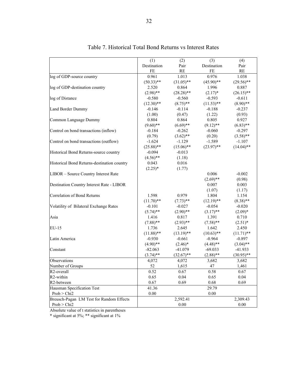|                                             | (1)          | (2)          | (3)          | (4)          |
|---------------------------------------------|--------------|--------------|--------------|--------------|
|                                             | Destination  | Pair         | Destination  | Pair         |
|                                             | FE           | RE           | FE           | RE           |
| log of GDP-source country                   | 0.961        | 1.013        | 0.976        | 1.038        |
|                                             | $(50.33)$ ** | $(31.05)$ ** | $(45.90)$ ** | $(29.56)$ ** |
| log of GDP-destination country              | 2.520        | 0.864        | 1.996        | 0.887        |
|                                             | $(2.98)$ **  | $(28.28)$ ** | $(2.17)^*$   | $(26.15)$ ** |
| log of Distance                             | $-0.580$     | $-0.560$     | $-0.593$     | $-0.611$     |
|                                             | $(12.30)$ ** | $(8.75)$ **  | $(11.53)$ ** | $(8.90)$ **  |
| Land Border Dummy                           | $-0.146$     | $-0.114$     | $-0.188$     | $-0.237$     |
|                                             | (1.00)       | (0.47)       | (1.22)       | (0.93)       |
| Common Language Dummy                       | 0.804        | 0.864        | 0.805        | 0.927        |
|                                             | $(9.60)$ **  | $(6.69)$ **  | $(9.12)$ **  | $(6.83)$ **  |
| Control on bond transactions (inflow)       | $-0.184$     | $-0.262$     | $-0.060$     | $-0.297$     |
|                                             | (0.79)       | $(3.62)$ **  | (0.20)       | $(3.58)$ **  |
| Control on bond transactions (outflow)      | $-1.624$     | $-1.129$     | $-1.589$     | $-1.107$     |
|                                             | $(25.88)$ ** | $(15.06)$ ** | $(23.97)$ ** | $(14.04)$ ** |
| Historical Bond Returns-source country      | $-0.094$     | $-0.013$     |              |              |
|                                             | $(4.56)$ **  | (1.18)       |              |              |
| Historical Bond Returns-destination country | 0.043        | 0.016        |              |              |
|                                             | $(2.25)^*$   | (1.77)       |              |              |
| LIBOR - Source Country Interest Rate        |              |              | 0.006        | $-0.002$     |
|                                             |              |              | $(2.69)$ **  | (0.98)       |
| Destination Country Interest Rate - LIBOR   |              |              | 0.007        | 0.003        |
|                                             |              |              | (1.07)       | (1.17)       |
| <b>Correlation of Bond Returns</b>          | 1.598        | 0.979        | 1.804        | 1.154        |
|                                             | $(11.70)$ ** | $(7.73)$ **  | $(12.19)$ ** | $(8.38)$ **  |
| Volatility of Bilateral Exchange Rates      | $-0.101$     | $-0.027$     | $-0.054$     | $-0.020$     |
|                                             | $(5.74)$ **  | $(2.90)$ **  | $(3.17)$ **  | $(2.09)*$    |
| Asia                                        | 1.416        | 0.817        | 1.391        | 0.710        |
|                                             | $(7.88)$ **  | $(2.93)$ **  | $(7.58)$ **  | $(2.51)^*$   |
| EU-15                                       | 1.736        | 2.645        | 1.642        | 2.450        |
|                                             | $(11.88)$ ** | $(13.19)$ ** | $(10.63)$ ** | $(11.71)$ ** |
| Latin America                               | $-0.930$     | $-0.661$     | $-0.964$     | $-0.897$     |
|                                             | $(4.90)$ **  | $(2.46)$ *   | $(4.48)$ **  | $(3.04)$ **  |
| Constant                                    | $-82.063$    | $-41.079$    | $-69.033$    | $-41.933$    |
|                                             | $(3.74)$ **  | $(32.67)$ ** | $(2.88)$ **  | $(30.95)$ ** |
| Observations                                | 4,072        | 4,072        | 3,682        | 3,682        |
| Number of Groups                            | 52           | 1,615        | 47           | 1,461        |
| R2-overall                                  | 0.52         | 0.67         | 0.58         | 0.67         |
| R <sub>2</sub> -within                      | 0.65         | 0.04         | 0.65         | 0.04         |
| R2-between                                  | 0.67         | 0.69         | 0.68         | 0.69         |
| Hausman Specification Test                  | 41.36        |              | 29.79        |              |
| Prob > Chi2                                 | 0.00         |              | 0.00         |              |
| Breusch-Pagan LM Test for Random Effects    |              | 2,592.41     |              | 2,309.43     |
| Prob > Chi2                                 |              | 0.00         |              | 0.00         |

Table 7. Historical Total Bond Returns vs Interest Rates

Absolute value of t statistics in parentheses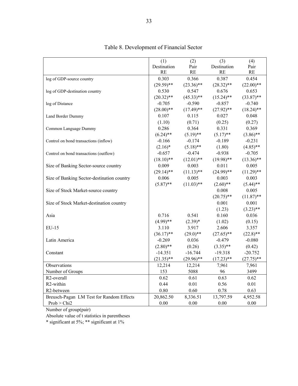|                                            | (1)          | (2)          | (3)          | (4)          |
|--------------------------------------------|--------------|--------------|--------------|--------------|
|                                            | Destination  | Pair         | Destination  | Pair         |
|                                            | <b>RE</b>    | RE           | <b>RE</b>    | RE           |
| log of GDP-source country                  | 0.303        | 0.366        | 0.387        | 0.454        |
|                                            | $(29.59)**$  | $(23.36)$ ** | $(28.32)$ ** | $(22.00)$ ** |
| log of GDP-destination country             | 0.530        | 0.547        | 0.676        | 0.653        |
|                                            | $(20.32)$ ** | $(45.33)$ ** | $(15.24)$ ** | $(33.87)$ ** |
| log of Distance                            | $-0.705$     | $-0.590$     | $-0.857$     | $-0.740$     |
|                                            | $(28.00)**$  | $(17.49)$ ** | $(27.92)$ ** | $(18.24)$ ** |
| Land Border Dummy                          | 0.107        | 0.115        | 0.027        | 0.048        |
|                                            | (1.10)       | (0.71)       | (0.25)       | (0.27)       |
| Common Language Dummy                      | 0.286        | 0.364        | 0.331        | 0.369        |
|                                            | $(6.24)$ **  | $(5.19)$ **  | $(5.17)$ **  | $(3.86)$ **  |
| Control on bond transactions (inflow)      | $-0.166$     | $-0.174$     | $-0.189$     | $-0.231$     |
|                                            | $(2.16)^*$   | $(5.18)$ **  | (1.80)       | $(4.85)$ **  |
| Control on bond transactions (outflow)     | $-0.657$     | $-0.474$     | $-0.938$     | $-0.705$     |
|                                            | $(18.10)**$  | $(12.01)$ ** | $(19.98)$ ** | $(13.36)$ ** |
| Size of Banking Sector-source country      | 0.009        | 0.003        | 0.011        | 0.005        |
|                                            | $(29.14)$ ** | $(11.13)$ ** | $(24.99)$ ** | $(11.29)$ ** |
| Size of Banking Sector-destination country | 0.006        | 0.005        | 0.003        | 0.003        |
|                                            | $(5.87)$ **  | $(11.03)$ ** | $(2.60)$ **  | $(5.44)$ **  |
| Size of Stock Market-source country        |              |              | 0.008        | 0.005        |
|                                            |              |              | $(20.75)$ ** | $(11.87)$ ** |
| Size of Stock Market-destination country   |              |              | 0.001        | 0.001        |
|                                            |              |              | (1.23)       | $(3.23)$ **  |
| Asia                                       | 0.716        | 0.541        | 0.160        | 0.036        |
|                                            | $(4.99)$ **  | $(2.39)*$    | (1.02)       | (0.15)       |
| EU-15                                      | 3.110        | 3.917        | 2.606        | 3.357        |
|                                            | $(36.17)$ ** | $(29.0)$ **  | $(27.65)$ ** | $(22.8)$ **  |
| Latin America                              | $-0.269$     | 0.036        | $-0.479$     | $-0.080$     |
|                                            | $(2.80)$ **  | (0.26)       | $(3.35)$ **  | (0.42)       |
| Constant                                   | $-14.351$    | $-16.744$    | $-19.318$    | $-20.752$    |
|                                            | $(21.35)$ ** | $(29.96)$ ** | $(17.23)$ ** | $(27.75)$ ** |
| Observations                               | 12,214       | 12,214       | 7,961        | 7,961        |
| Number of Groups                           | 153          | 5088         | 96           | 3499         |
| R <sub>2</sub> -overall                    | 0.62         | 0.61         | 0.63         | 0.62         |
| R2-within                                  | 0.44         | 0.01         | 0.56         | 0.01         |
| R2-between                                 | 0.80         | 0.60         | 0.78         | 0.63         |
| Breusch-Pagan LM Test for Random Effects   | 20,862.50    | 8,336.51     | 13,797.59    | 4,952.58     |
| Prob > Chi2                                | 0.00         | 0.00         | 0.00         | 0.00         |

## Table 8. Development of Financial Sector

Number of group(pair)

Absolute value of t statistics in parentheses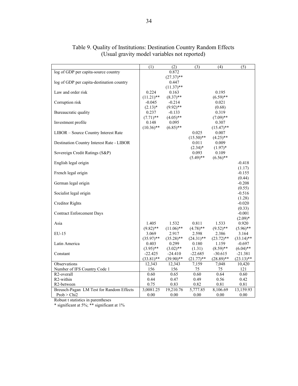|                                           | (1)          | (2)          | (3)          | (4)          | (5)          |
|-------------------------------------------|--------------|--------------|--------------|--------------|--------------|
| log of GDP per capita-source country      |              | 0.872        |              |              |              |
|                                           |              | $(27.37)$ ** |              |              |              |
| log of GDP per capita-destination country |              | 0.447        |              |              |              |
|                                           |              | $(11.37)$ ** |              |              |              |
| Law and order risk                        | 0.224        | 0.163        |              | 0.195        |              |
|                                           | $(11.21)$ ** | $(8.37)$ **  |              | $(6.59)$ **  |              |
| Corruption risk                           | $-0.045$     | $-0.214$     |              | 0.021        |              |
|                                           | $(2.13)*$    | $(9.92)$ **  |              | (0.68)       |              |
| Bureaucratic quality                      | 0.237        | $-0.133$     |              | 0.319        |              |
|                                           | $(7.71)$ **  | $(4.05)$ **  |              | $(7.09)$ **  |              |
| Investment profile                        | 0.148        | 0.095        |              | 0.307        |              |
|                                           | $(10.36)$ ** | $(6.85)$ **  |              | $(15.47)$ ** |              |
| LIBOR - Source Country Interest Rate      |              |              | 0.025        | 0.007        |              |
|                                           |              |              | $(15.50)$ ** | $(4.25)$ **  |              |
| Destination Country Interest Rate - LIBOR |              |              | 0.011        | 0.009        |              |
|                                           |              |              | $(2.34)^*$   | $(1.97)^*$   |              |
| Sovereign Credit Ratings (S&P)            |              |              | 0.093        | 0.109        |              |
|                                           |              |              | $(5.49)$ **  | $(6.56)$ **  |              |
| English legal origin                      |              |              |              |              | $-0.418$     |
|                                           |              |              |              |              | (1.17)       |
| French legal origin                       |              |              |              |              | $-0.155$     |
|                                           |              |              |              |              | (0.44)       |
| German legal origin                       |              |              |              |              | $-0.208$     |
|                                           |              |              |              |              | (0.55)       |
| Socialist legal origin                    |              |              |              |              | $-0.516$     |
|                                           |              |              |              |              | (1.28)       |
| <b>Creditor Rights</b>                    |              |              |              |              | $-0.020$     |
|                                           |              |              |              |              | (0.33)       |
| <b>Contract Enforcement Days</b>          |              |              |              |              | $-0.001$     |
|                                           |              |              |              |              | $(2.09)^*$   |
| Asia                                      | 1.405        | 1.532        | 0.811        | 1.533        | 0.920        |
|                                           | $(9.82)$ **  | $(11.06)$ ** | $(4.78)$ **  | $(9.52)$ **  | $(5.96)$ **  |
| $EU-15$                                   | 3.069        | 2.917        | 2.598        | 2.386        | 3.164        |
|                                           | $(35.97)$ ** | $(35.28)$ ** | $(24.31)$ ** | $(23.72)$ ** | $(33.14)$ ** |
| Latin America                             | 0.403        | 0.299        | 0.180        | 1.159        | $-0.697$     |
|                                           | $(3.95)$ **  | $(3.02)$ **  | (1.31)       | $(8.59)$ **  | $(6.04)$ **  |
| Constant                                  | $-22.425$    | $-24.410$    | $-22.685$    | $-30.615$    | $-21.381$    |
|                                           | $(33.81)$ ** | $(39.90)$ ** | $(21.77)$ ** | $(28.89)$ ** | $(23.13)$ ** |
| Observations                              | 12,343       | 12,343       | 7,159        | 7,048        | 10,420       |
| Number of IFS Country Code 1              | 156          | 156          | 75           | 75           | 121          |
| R <sub>2</sub> -overall                   | 0.60         | 0.65         | 0.60         | 0.64         | 0.60         |
| R2-within                                 | 0.44         | 0.47         | 0.49         | 0.56         | 0.42         |
| R2-between                                | 0.75         | 0.83         | 0.82         | 0.81         | 0.81         |
|                                           |              |              |              |              |              |
| Breusch-Pagan LM Test for Random Effects  | 3,0081.25    | 19,210.76    | 5,777.85     | 8,106.69     | 13,159.93    |
| Prob > Chi2                               | 0.00         | 0.00         | 0.00         | 0.00         | 0.00         |

Table 9. Quality of Institutions: Destination Country Random Effects (Usual gravity model variables not reported)

Robust t statistics in parentheses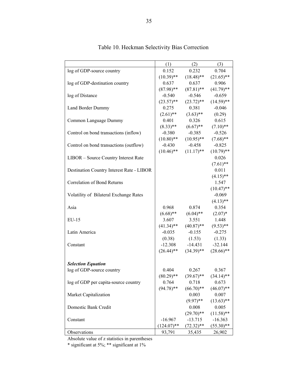|                                           | (1)           | (2)          | (3)          |
|-------------------------------------------|---------------|--------------|--------------|
| log of GDP-source country                 | 0.152         | 0.232        | 0.704        |
|                                           | $(10.39)$ **  | $(18.48)$ ** | $(21.65)$ ** |
| log of GDP-destination country            | 0.637         | 0.637        | 0.906        |
|                                           | $(87.98)$ **  | $(87.81)$ ** | $(41.79)$ ** |
| log of Distance                           | $-0.540$      | $-0.546$     | $-0.659$     |
|                                           | $(23.57)$ **  | $(23.72)$ ** | $(14.59)$ ** |
| Land Border Dummy                         | 0.275         | 0.381        | $-0.046$     |
|                                           | $(2.61)$ **   | $(3.63)$ **  | (0.29)       |
| Common Language Dummy                     | 0.401         | 0.326        | 0.615        |
|                                           | $(8.33)$ **   | $(6.67)$ **  | $(7.10)$ **  |
| Control on bond transactions (inflow)     | $-0.380$      | $-0.385$     | $-0.526$     |
|                                           | $(10.80)$ **  | $(10.95)$ ** | $(7.68)$ **  |
| Control on bond transactions (outflow)    | $-0.430$      | $-0.458$     | $-0.825$     |
|                                           | $(10.46)$ **  | $(11.17)$ ** | $(10.79)$ ** |
| LIBOR - Source Country Interest Rate      |               |              | 0.026        |
|                                           |               |              | $(7.61)$ **  |
| Destination Country Interest Rate - LIBOR |               |              | 0.011        |
|                                           |               |              | $(4.15)$ **  |
| Correlation of Bond Returns               |               |              | 1.547        |
|                                           |               |              | $(10.47)$ ** |
| Volatility of Bilateral Exchange Rates    |               |              | $-0.069$     |
|                                           |               |              | $(4.13)$ **  |
| Asia                                      | 0.968         | 0.874        | 0.354        |
|                                           | $(6.68)$ **   | $(6.04)$ **  | $(2.07)^*$   |
| EU-15                                     | 3.607         | 3.551        | 1.448        |
|                                           | $(41.34)$ **  | $(40.87)$ ** | $(9.53)$ **  |
| Latin America                             | $-0.035$      | $-0.155$     | $-0.275$     |
|                                           | (0.38)        | (1.53)       | (1.33)       |
| Constant                                  | $-12.308$     | $-14.431$    | $-32.144$    |
|                                           | $(26.44)$ **  | $(34.39)$ ** | $(28.66)$ ** |
|                                           |               |              |              |
| <b>Selection Equation</b>                 |               |              |              |
| log of GDP-source country                 | 0.404         | 0.267        | 0.367        |
|                                           | $(80.29)$ **  | $(39.67)$ ** | $(34.14)$ ** |
| log of GDP per capita-source country      | 0.764         | 0.718        | 0.673        |
|                                           | $(94.78)$ **  | $(66.70)**$  | $(46.07)**$  |
| Market Capitalization                     |               | 0.003        | 0.007        |
|                                           |               | $(9.97)$ **  | $(13.63)$ ** |
| Domestic Bank Credit                      |               | 0.008        | 0.005        |
|                                           |               | $(29.70)**$  | $(11.58)$ ** |
| Constant                                  | $-16.967$     | $-13.715$    | $-16.363$    |
|                                           | $(124.07)$ ** | $(72.32)$ ** | $(55.30)$ ** |
| Observations                              | 93,791        | 35,435       | 26,902       |

## Table 10. Heckman Selectivity Bias Correction

Absolute value of z statistics in parentheses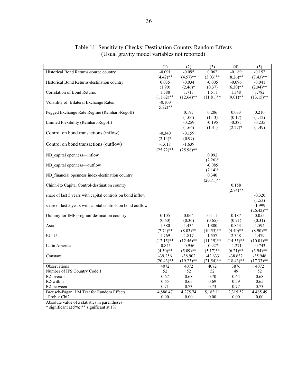|                                                             | (1)          | $\overline{(2)}$   | (3)                   | (4)                | (5)                |
|-------------------------------------------------------------|--------------|--------------------|-----------------------|--------------------|--------------------|
| Historical Bond Returns-source country                      | $-0.091$     | $-0.095$           | 0.062                 | $-0.189$           | $-0.152$           |
|                                                             | $(4.42)$ **  | $(4.57)$ **        | $(3.03)$ **           | $(8.26)$ **        | $(7.43)$ **        |
| Historical Bond Returns-destination country                 | 0.035        | $-0.034$           | $-0.005$              | $-0.096$           | $-0.041$           |
|                                                             | (1.90)       | $(2.46)$ *         | (0.37)                | $(6.30)$ **        | $(2.94)$ **        |
| Correlation of Bond Returns                                 | 1.588        | 1.713              | 1.511                 | 1.348              | 1.782              |
|                                                             | $(11.62)$ ** | $(12.64)$ **       | $(11.81)$ **          | $(9.01)$ **        | $(13.15)$ **       |
| Volatility of Bilateral Exchange Rates                      | $-0.100$     |                    |                       |                    |                    |
|                                                             | $(5.82)$ **  |                    |                       |                    |                    |
| Pegged Exchange Rate Regime (Reinhart-Rogoff)               |              | 0.197              | 0.206                 | 0.033              | 0.210              |
| Limited Flexibility (Reinhart-Rogoff)                       |              | (1.06)<br>$-0.259$ | (1.13)<br>$-0.195$    | (0.17)<br>$-0.385$ | (1.12)<br>$-0.235$ |
|                                                             |              |                    | (1.31)                | $(2.27)^*$         | (1.49)             |
| Control on bond transactions (inflow)                       | $-0.340$     | (1.66)<br>$-0.159$ |                       |                    |                    |
|                                                             |              |                    |                       |                    |                    |
|                                                             | $(2.14)^*$   | (0.97)             |                       |                    |                    |
| Control on bond transactions (outflow)                      | $-1.618$     | $-1.639$           |                       |                    |                    |
|                                                             | $(25.72)$ ** | $(25.98)$ **       |                       |                    |                    |
| NB capital openness—inflow                                  |              |                    | 0.092                 |                    |                    |
|                                                             |              |                    | $(2.26)^*$            |                    |                    |
| NB capital openness-outflow                                 |              |                    | $-0.085$              |                    |                    |
|                                                             |              |                    | $(2.14)^*$            |                    |                    |
| NB financial openness index-destination country             |              |                    | 0.340<br>$(20.71)$ ** |                    |                    |
| Chinn-Ito Capital Control-destination country               |              |                    |                       | 0.158              |                    |
|                                                             |              |                    |                       | $(2.74)$ **        |                    |
| share of last 5 years with capital controls on bond inflow  |              |                    |                       |                    | $-0.320$           |
|                                                             |              |                    |                       |                    | (1.53)             |
| share of last 5 years with capital controls on bond outflow |              |                    |                       |                    | $-1.999$           |
|                                                             |              |                    |                       |                    | $(26.42)$ **       |
| Dummy for IMF program-destination country                   | 0.105        | 0.064              | 0.111                 | 0.187              | 0.055              |
|                                                             | (0.60)       | (0.36)             | (0.65)                | (0.91)             | (0.31)             |
| Asia                                                        | 1.380        | 1.434              | 1.800                 | 0.853              | 1.594              |
|                                                             | $(7.74)$ **  | $(8.03)$ **        | $(10.55)$ **          | $(4.40)$ **        | $(8.90)$ **        |
| $EU-15$                                                     | 1.769        | 1.817              | 1.557                 | 2.348              | 1.479              |
|                                                             | $(12.15)$ ** | $(12.46)$ **       | $(11.19)$ **          | $(14.55)$ **       | $(10.01)$ **       |
| Latin America                                               | $-0.845$     | $-0.956$           | $-0.927$              | $-1.271$           | $-0.743$           |
|                                                             | $(4.50)$ **  | $(5.09)$ **        | $(5.17)$ **           | $(6.21)$ **        | $(3.94)$ **        |
| Constant                                                    | $-39.256$    | $-38.902$          | $-42.633$             | $-38.632$          | $-35.946$          |
|                                                             | $(20.43)$ ** | $(19.23)$ **       | $(21.54)$ **          | $(18.43)$ **       | $(17.33)$ **       |
| Observations                                                | 4072         | 4072               | 4072                  | 3876               | 4072               |
| Number of IFS Country Code 1                                | 52           | 52                 | 52                    | 49                 | 52                 |
| R <sub>2</sub> -overall                                     | 0.67         | 0.68               | 0.70                  | 0.64               | 0.68               |
| R <sub>2</sub> -within                                      | 0.65         | 0.65               | 0.69                  | 0.59               | 0.65<br>0.73       |
| R2-between                                                  | 0.71         | 0.73               | 0.73                  | 0.77               |                    |
| Breusch-Pagan LM Test for Random Effects<br>Prob > Chi2     | 4,886.47     | 4,275.74           | 5,183.11              | 2,315.52           | 4,485.49           |
|                                                             | 0.00         | 0.00               | 0.00                  | 0.00               | 0.00               |

Table 11. Sensitivity Checks: Destination Country Random Effects (Usual gravity model variables not reported)

Absolute value of z statistics in parentheses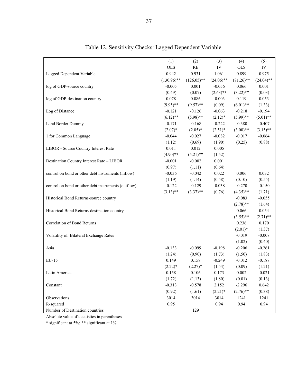|                                                     | (1)           | (2)           | (3)          | (4)          | (5)          |
|-----------------------------------------------------|---------------|---------------|--------------|--------------|--------------|
|                                                     | <b>OLS</b>    | RE            | ${\rm IV}$   | <b>OLS</b>   | IV           |
| Lagged Dependent Variable                           | 0.942         | 0.931         | 1.061        | 0.899        | 0.975        |
|                                                     | $(130.96)$ ** | $(126.05)$ ** | $(24.06)$ ** | $(71.26)$ ** | $(24.04)$ ** |
| log of GDP-source country                           | $-0.005$      | 0.001         | $-0.056$     | 0.066        | 0.001        |
|                                                     | (0.49)        | (0.07)        | $(2.63)$ **  | $(3.22)$ **  | (0.03)       |
| log of GDP-destination country                      | 0.078         | 0.086         | $-0.003$     | 0.119        | 0.053        |
|                                                     | $(9.95)$ **   | $(9.57)$ **   | (0.09)       | $(6.01)$ **  | (1.33)       |
| Log of Distance                                     | $-0.121$      | $-0.126$      | $-0.063$     | $-0.218$     | $-0.194$     |
|                                                     | $(6.12)$ **   | $(5.98)$ **   | $(2.12)^*$   | $(5.99)$ **  | $(5.01)$ **  |
| Land Border Dummy                                   | $-0.171$      | $-0.168$      | $-0.222$     | $-0.380$     | $-0.407$     |
|                                                     | $(2.07)^*$    | $(2.05)^*$    | $(2.51)^*$   | $(3.00)**$   | $(3.15)$ **  |
| 1 for Common Language                               | $-0.044$      | $-0.027$      | $-0.082$     | $-0.017$     | $-0.064$     |
|                                                     | (1.12)        | (0.69)        | (1.90)       | (0.25)       | (0.88)       |
| LIBOR - Source Country Interest Rate                | 0.011         | 0.012         | 0.005        |              |              |
|                                                     | $(4.90)$ **   | $(5.21)$ **   | (1.52)       |              |              |
| Destination Country Interest Rate - LIBOR           | $-0.001$      | $-0.002$      | 0.001        |              |              |
|                                                     | (0.97)        | (1.11)        | (0.64)       |              |              |
| control on bond or other debt instruments (inflow)  | $-0.036$      | $-0.042$      | 0.022        | 0.006        | 0.032        |
|                                                     | (1.19)        | (1.14)        | (0.58)       | (0.10)       | (0.55)       |
| control on bond or other debt instruments (outflow) | $-0.122$      | $-0.129$      | $-0.038$     | $-0.270$     | $-0.150$     |
|                                                     | $(3.13)$ **   | $(3.37)$ **   | (0.76)       | $(4.35)$ **  | (1.71)       |
| Historical Bond Returns-source country              |               |               |              | $-0.083$     | $-0.055$     |
|                                                     |               |               |              | $(2.78)$ **  | (1.64)       |
| Historical Bond Returns-destination country         |               |               |              | 0.066        | 0.054        |
|                                                     |               |               |              | $(3.55)$ **  | $(2.71)$ **  |
| Correlation of Bond Returns                         |               |               |              | 0.236        | 0.170        |
|                                                     |               |               |              | $(2.01)*$    | (1.37)       |
| Volatility of Bilateral Exchange Rates              |               |               |              | $-0.019$     | $-0.008$     |
|                                                     |               |               |              | (1.02)       | (0.40)       |
| Asia                                                | $-0.133$      | $-0.099$      | $-0.198$     | $-0.206$     | $-0.261$     |
|                                                     | (1.24)        | (0.90)        | (1.73)       | (1.50)       | (1.83)       |
| EU-15                                               | 0.149         | 0.158         | $-0.249$     | $-0.012$     | $-0.188$     |
|                                                     | $(2.22)*$     | $(2.27)^*$    | (1.54)       | (0.09)       | (1.21)       |
| Latin America                                       | 0.158         | 0.106         | 0.173        | 0.002        | $-0.021$     |
|                                                     | (1.72)        | (1.13)        | (1.80)       | (0.01)       | (0.13)       |
| Constant                                            | $-0.313$      | $-0.578$      | 2.152        | $-2.296$     | 0.642        |
|                                                     | (0.92)        | (1.61)        | $(2.21)$ *   | $(2.76)$ **  | (0.38)       |
| Observations                                        | 3014          | 3014          | 3014         | 1241         | 1241         |
| R-squared                                           | 0.95          |               | 0.94         | 0.94         | 0.94         |
| Number of Destination countries                     |               | 129           |              |              |              |

Table 12. Sensitivity Checks: Lagged Dependent Variable

Absolute value of t statistics in parentheses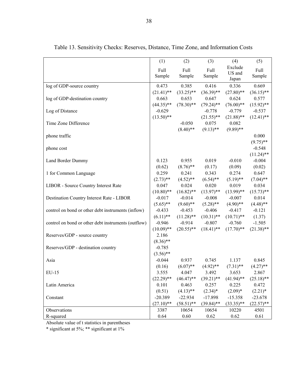|                                                     | (1)          | (2)          | (3)          | (4)          | (5)          |
|-----------------------------------------------------|--------------|--------------|--------------|--------------|--------------|
|                                                     | Full         | Full         | Full         | Exclude      | Full         |
|                                                     | Sample       | Sample       | Sample       | US and       | Sample       |
|                                                     |              |              |              | Japan        |              |
| log of GDP-source country                           | 0.473        | 0.385        | 0.416        | 0.336        | 0.669        |
|                                                     | $(21.41)$ ** | $(33.25)$ ** | $(36.39)$ ** | $(27.80)$ ** | $(36.15)$ ** |
| log of GDP-destination country                      | 0.663        | 0.653        | 0.647        | 0.624        | 0.577        |
|                                                     | $(44.35)$ ** | $(78.30)$ ** | $(79.24)$ ** | $(76.00)**$  | $(15.92)$ ** |
| Log of Distance                                     | $-0.629$     |              | $-0.778$     | $-0.779$     | $-0.537$     |
|                                                     | $(13.50)$ ** |              | $(21.55)$ ** | $(21.88)$ ** | $(12.41)$ ** |
| Time Zone Difference                                |              | $-0.050$     | 0.075        | 0.082        |              |
|                                                     |              | $(8.40)$ **  | $(9.13)$ **  | $(9.89)$ **  |              |
| phone traffic                                       |              |              |              |              | 0.000        |
|                                                     |              |              |              |              | $(9.75)$ **  |
| phone cost                                          |              |              |              |              | $-0.548$     |
|                                                     |              |              |              |              | $(11.24)$ ** |
| Land Border Dummy                                   | 0.123        | 0.955        | 0.019        | $-0.010$     | $-0.004$     |
|                                                     | (0.62)       | $(8.76)$ **  | (0.17)       | (0.09)       | (0.02)       |
| 1 for Common Language                               | 0.259        | 0.241        | 0.343        | 0.274        | 0.647        |
|                                                     | $(2.73)$ **  | $(4.52)$ **  | $(6.54)$ **  | $(5.19)$ **  | $(7.04)$ **  |
| LIBOR - Source Country Interest Rate                | 0.047        | 0.024        | 0.020        | 0.019        | 0.034        |
|                                                     | $(10.80)$ ** | $(16.82)$ ** | $(13.97)$ ** | $(13.99)$ ** | $(15.73)$ ** |
| Destination Country Interest Rate - LIBOR           | $-0.017$     | $-0.014$     | $-0.008$     | $-0.007$     | 0.014        |
|                                                     | $(5.65)$ **  | $(9.60)$ **  | $(5.28)$ **  | $(4.90)$ **  | $(4.48)$ **  |
| control on bond or other debt instruments (inflow)  | $-0.433$     | $-0.453$     | $-0.406$     | $-0.417$     | $-0.121$     |
|                                                     | $(6.11)$ **  | $(11.28)$ ** | $(10.31)$ ** | $(10.71)$ ** | (1.37)       |
| control on bond or other debt instruments (outflow) | $-0.946$     | $-0.914$     | $-0.807$     | $-0.760$     | $-1.505$     |
|                                                     | $(10.09)$ ** | $(20.55)$ ** | $(18.41)$ ** | $(17.70)$ ** | $(21.38)$ ** |
| Reserves/GDP - source country                       | 2.186        |              |              |              |              |
|                                                     | $(8.36)$ **  |              |              |              |              |
| Reserves/GDP - destination country                  | $-0.785$     |              |              |              |              |
|                                                     | $(3.56)$ **  |              |              |              |              |
| Asia                                                | $-0.044$     | 0.937        | 0.745        | 1.137        | 0.845        |
|                                                     | (0.16)       | $(6.07)$ **  | $(4.92)$ **  | $(7.31)$ **  | $(4.27)$ **  |
| $EU-15$                                             | 3.555        | 4.047        | 3.492        | 3.653        | 2.867        |
|                                                     | $(22.29)$ ** | $(46.47)$ ** | $(39.21)$ ** | $(41.94)$ ** | $(25.18)$ ** |
| Latin America                                       | 0.101        | 0.463        | 0.257        | 0.225        | 0.472        |
|                                                     | (0.51)       | $(4.13)$ **  | $(2.34)*$    | $(2.09)*$    | $(2.21)^*$   |
| Constant                                            | $-20.389$    | $-22.934$    | $-17.898$    | $-15.358$    | $-23.678$    |
|                                                     | $(27.10)**$  | $(58.51)$ ** | $(39.84)$ ** | $(33.35)$ ** | $(22.57)$ ** |
| Observations                                        | 3387         | 10654        | 10654        | 10220        | 4501         |
| R-squared                                           | 0.64         | 0.60         | 0.62         | 0.62         | 0.61         |

Table 13. Sensitivity Checks: Reserves, Distance, Time Zone, and Information Costs

Absolute value of t statistics in parentheses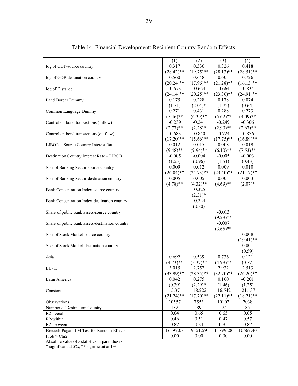|                                                 | (1)          | (2)          | (3)          | (4)          |
|-------------------------------------------------|--------------|--------------|--------------|--------------|
| log of GDP-source country                       | 0.317        | 0.336        | 0.326        | 0.418        |
|                                                 | $(28.42)$ ** | $(19.75)$ ** | $(28.13)$ ** | $(28.51)$ ** |
| log of GDP-destination country                  | 0.560        | 0.648        | 0.605        | 0.726        |
|                                                 | $(20.24)$ ** | $(17.96)$ ** | $(21.28)$ ** | $(16.13)$ ** |
| log of Distance                                 | $-0.673$     | $-0.664$     | $-0.664$     | $-0.834$     |
|                                                 | $(24.14)$ ** | $(20.25)$ ** | $(23.36)$ ** | $(24.91)$ ** |
| Land Border Dummy                               | 0.175        | 0.228        | 0.178        | 0.074        |
|                                                 | (1.71)       | $(2.04)^*$   | (1.72)       | (0.64)       |
| Common Language Dummy                           | 0.271        | 0.431        | 0.288        | 0.273        |
|                                                 | $(5.46)$ **  | $(6.39)$ **  | $(5.62)$ **  | $(4.09)$ **  |
| Control on bond transactions (inflow)           | $-0.239$     | $-0.241$     | $-0.249$     | $-0.306$     |
|                                                 | $(2.77)$ **  | $(2.28)^*$   | $(2.90)$ **  | $(2.67)$ **  |
| Control on bond transactions (outflow)          | $-0.683$     | $-0.840$     | $-0.724$     | $-0.876$     |
|                                                 | $(17.20)$ ** | $(15.66)$ ** | $(17.75)$ ** | $(16.89)$ ** |
| LIBOR - Source Country Interest Rate            | 0.012        | 0.015        | 0.008        | 0.019        |
|                                                 | $(9.48)$ **  | $(9.94)$ **  | $(6.10)$ **  | $(7.53)$ **  |
| Destination Country Interest Rate - LIBOR       | $-0.005$     | $-0.004$     | $-0.005$     | $-0.003$     |
|                                                 | (1.53)       | (0.96)       | (1.51)       | (0.43)       |
| Size of Banking Sector-source country           | 0.009        | 0.012        | 0.009        | 0.010        |
|                                                 | $(26.04)$ ** | $(24.73)$ ** | $(23.40)$ ** | $(21.17)$ ** |
| Size of Banking Sector-destination country      | 0.005        | 0.005        | 0.005        | 0.003        |
|                                                 | $(4.78)$ **  | $(4.32)$ **  | $(4.69)$ **  | $(2.07)^*$   |
| Bank Concentration Index-source country         |              | $-0.325$     |              |              |
|                                                 |              | $(2.31)^*$   |              |              |
| Bank Concentration Index-destination country    |              | $-0.224$     |              |              |
|                                                 |              | (0.80)       |              |              |
| Share of public bank assets-source country      |              |              | $-0.013$     |              |
|                                                 |              |              | $(9.28)$ **  |              |
| Share of public bank assets-destination country |              |              | $-0.007$     |              |
|                                                 |              |              | $(3.65)$ **  |              |
| Size of Stock Market-source country             |              |              |              | 0.008        |
|                                                 |              |              |              | $(19.41)$ ** |
| Size of Stock Market-destination country        |              |              |              | 0.001        |
|                                                 |              |              |              | (0.59)       |
| Asia                                            | 0.692        | 0.539        | 0.736        | 0.121        |
|                                                 | $(4.73)$ **  | $(3.37)$ **  | $(4.98)$ **  | (0.77)       |
| $EU-15$                                         | 3.015        | 2.752        | 2.932        | 2.513        |
|                                                 | $(33.99)$ ** | $(28.35)$ ** | $(32.70)$ ** | $(26.20)**$  |
| Latin America                                   | 0.042        | 0.275        | 0.160        | $-0.201$     |
|                                                 | (0.39)       | $(2.29)*$    | (1.46)       | (1.25)       |
| Constant                                        | $-15.371$    | $-18.222$    | $-16.542$    | $-21.137$    |
|                                                 | $(21.24)$ ** | $(17.70)$ ** | $(22.11)$ ** | $(18.21)$ ** |
| Observations                                    | 10557        | 7553         | 10102        | 7038         |
| Number of Destination Country                   | 132          | 89           | 124          | 85           |
| R2-overall                                      | 0.64         | 0.65         | 0.65         | 0.65         |
| R2-within                                       | 0.46         | 0.51         | 0.47         | 0.57         |
| R2-between                                      | 0.82         | 0.84         | 0.85         | 0.82         |
| Breusch-Pagan LM Test for Random Effects        | 16397.08     | 9351.59      | 11799.28     | 10667.40     |
| Prob > Chi2                                     | 0.00         | 0.00         | 0.00         | 0.00         |

Table 14. Financial Development: Recipient Country Random Effects

Absolute value of z statistics in parentheses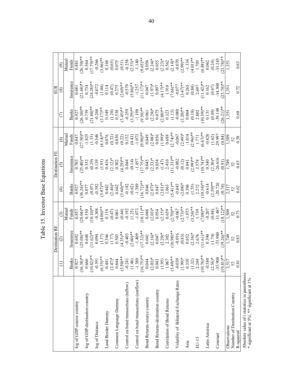|                                                                                            |                                                                                                                                                                                                                                | Destination RE                                                                                                                                                                                                                                                                                                                               |                                                                                                                                                                                                                                                                                                       |                                                                                                                                                                                                                                                                                                                                               | Destination Fl                                                                                                                                                                                                                                                                                                                                                                                                                                               |                                                                                                                                                                                                                                                                                                                   |                                                                                                                                                                                                                                                  | SUR                                                                                                                                                                                                                                                                                                                            |                                                                                                                                                                                                                                                                           |
|--------------------------------------------------------------------------------------------|--------------------------------------------------------------------------------------------------------------------------------------------------------------------------------------------------------------------------------|----------------------------------------------------------------------------------------------------------------------------------------------------------------------------------------------------------------------------------------------------------------------------------------------------------------------------------------------|-------------------------------------------------------------------------------------------------------------------------------------------------------------------------------------------------------------------------------------------------------------------------------------------------------|-----------------------------------------------------------------------------------------------------------------------------------------------------------------------------------------------------------------------------------------------------------------------------------------------------------------------------------------------|--------------------------------------------------------------------------------------------------------------------------------------------------------------------------------------------------------------------------------------------------------------------------------------------------------------------------------------------------------------------------------------------------------------------------------------------------------------|-------------------------------------------------------------------------------------------------------------------------------------------------------------------------------------------------------------------------------------------------------------------------------------------------------------------|--------------------------------------------------------------------------------------------------------------------------------------------------------------------------------------------------------------------------------------------------|--------------------------------------------------------------------------------------------------------------------------------------------------------------------------------------------------------------------------------------------------------------------------------------------------------------------------------|---------------------------------------------------------------------------------------------------------------------------------------------------------------------------------------------------------------------------------------------------------------------------|
|                                                                                            |                                                                                                                                                                                                                                | $\widehat{\circ}$                                                                                                                                                                                                                                                                                                                            |                                                                                                                                                                                                                                                                                                       |                                                                                                                                                                                                                                                                                                                                               | ତି                                                                                                                                                                                                                                                                                                                                                                                                                                                           | $\circledcirc$                                                                                                                                                                                                                                                                                                    |                                                                                                                                                                                                                                                  | $\circledast$                                                                                                                                                                                                                                                                                                                  |                                                                                                                                                                                                                                                                           |
|                                                                                            |                                                                                                                                                                                                                                |                                                                                                                                                                                                                                                                                                                                              | Mutua                                                                                                                                                                                                                                                                                                 |                                                                                                                                                                                                                                                                                                                                               |                                                                                                                                                                                                                                                                                                                                                                                                                                                              | Mutua                                                                                                                                                                                                                                                                                                             |                                                                                                                                                                                                                                                  |                                                                                                                                                                                                                                                                                                                                | Mutua                                                                                                                                                                                                                                                                     |
|                                                                                            | <b>Banks</b>                                                                                                                                                                                                                   | nsurance                                                                                                                                                                                                                                                                                                                                     | Funds                                                                                                                                                                                                                                                                                                 |                                                                                                                                                                                                                                                                                                                                               | nsurance                                                                                                                                                                                                                                                                                                                                                                                                                                                     | Funds                                                                                                                                                                                                                                                                                                             | <b>Banks</b>                                                                                                                                                                                                                                     | Insurance                                                                                                                                                                                                                                                                                                                      | Funds                                                                                                                                                                                                                                                                     |
| log of GDP-source country                                                                  | 0.927                                                                                                                                                                                                                          | 0.692                                                                                                                                                                                                                                                                                                                                        | $(58.04)$ *                                                                                                                                                                                                                                                                                           |                                                                                                                                                                                                                                                                                                                                               |                                                                                                                                                                                                                                                                                                                                                                                                                                                              | $^{*(05'27)}_{LF8.0}$                                                                                                                                                                                                                                                                                             | 0.927                                                                                                                                                                                                                                            |                                                                                                                                                                                                                                                                                                                                | 0.881                                                                                                                                                                                                                                                                     |
| log of GDP-destination country                                                             | $(36.38)$ **                                                                                                                                                                                                                   | $(25.08)$ **                                                                                                                                                                                                                                                                                                                                 |                                                                                                                                                                                                                                                                                                       |                                                                                                                                                                                                                                                                                                                                               |                                                                                                                                                                                                                                                                                                                                                                                                                                                              |                                                                                                                                                                                                                                                                                                                   |                                                                                                                                                                                                                                                  |                                                                                                                                                                                                                                                                                                                                |                                                                                                                                                                                                                                                                           |
|                                                                                            |                                                                                                                                                                                                                                |                                                                                                                                                                                                                                                                                                                                              |                                                                                                                                                                                                                                                                                                       |                                                                                                                                                                                                                                                                                                                                               |                                                                                                                                                                                                                                                                                                                                                                                                                                                              |                                                                                                                                                                                                                                                                                                                   |                                                                                                                                                                                                                                                  |                                                                                                                                                                                                                                                                                                                                |                                                                                                                                                                                                                                                                           |
| log of Distance                                                                            |                                                                                                                                                                                                                                |                                                                                                                                                                                                                                                                                                                                              |                                                                                                                                                                                                                                                                                                       |                                                                                                                                                                                                                                                                                                                                               |                                                                                                                                                                                                                                                                                                                                                                                                                                                              |                                                                                                                                                                                                                                                                                                                   |                                                                                                                                                                                                                                                  |                                                                                                                                                                                                                                                                                                                                |                                                                                                                                                                                                                                                                           |
|                                                                                            |                                                                                                                                                                                                                                |                                                                                                                                                                                                                                                                                                                                              |                                                                                                                                                                                                                                                                                                       |                                                                                                                                                                                                                                                                                                                                               |                                                                                                                                                                                                                                                                                                                                                                                                                                                              |                                                                                                                                                                                                                                                                                                                   |                                                                                                                                                                                                                                                  |                                                                                                                                                                                                                                                                                                                                |                                                                                                                                                                                                                                                                           |
| Land Border Dummy                                                                          |                                                                                                                                                                                                                                |                                                                                                                                                                                                                                                                                                                                              |                                                                                                                                                                                                                                                                                                       |                                                                                                                                                                                                                                                                                                                                               |                                                                                                                                                                                                                                                                                                                                                                                                                                                              |                                                                                                                                                                                                                                                                                                                   |                                                                                                                                                                                                                                                  |                                                                                                                                                                                                                                                                                                                                |                                                                                                                                                                                                                                                                           |
| Common Language Dummy                                                                      | $(0.666)$ $(0.39)$ $(0.39)$ $(0.39)$ $(0.39)$ $(0.39)$ $(0.39)$ $(0.39)$ $(0.39)$ $(0.39)$ $(0.39)$ $(0.39)$ $(0.39)$ $(0.39)$ $(0.39)$ $(0.39)$ $(0.39)$ $(0.39)$ $(0.39)$ $(0.39)$ $(0.39)$ $(0.39)$ $(0.39)$ $(0.39)$ $(0.$ | $\begin{array}{l} 0.648 \\ 0.62) * \\ 0.947 \\ -1.57 \\ -1.77 \\ -1.77 \\ -1.79 \\ -1.79 \\ -1.79 \\ -1.79 \\ -1.79 \\ -1.79 \\ -1.79 \\ -1.79 \\ -1.79 \\ -1.79 \\ -1.79 \\ -1.79 \\ -1.79 \\ -1.79 \\ -1.79 \\ -1.79 \\ -1.79 \\ -1.79 \\ -1.79 \\ -1.79 \\ -1.79 \\ -1.79 \\ -1.79 \\ -1.79 \\ -1.79 \\ -1.79 \\ -1.79 \\ -1.79 \\ -1.79$ | $\begin{array}{c} (530)\\ (1010)\\ (1010)**\\ (1110)\\ (1110)\\ (1110)\\ (1110)\\ (1110)\\ (1111)\\ (1111)\\ (1111)\\ (1111)\\ (1111)\\ (1111)\\ (1111)\\ (1111)\\ (1111)\\ (1111)\\ (1111)\\ (1111)\\ (1111)\\ (1111)\\ (1111)\\ (1111)\\ (1111)\\ (1111)\\ (1111)\\ (1111)\\ (1111)\\ (1111)\\ (11$ | $\begin{array}{l} \mathop{\rm{max}}\limits_{0.927}(\widehat{100}^{*}_{0.97}^{*0.7})^{*0.97}_{0.97}(\widehat{100}^{*0.7})^{*0.97}_{0.97}(\widehat{100}^{*0.7})^{*0.97}_{0.97}(\widehat{100}^{*0.7})^{*0.97}_{0.97}(\widehat{100}^{*0.7})^{*0.97}_{0.97}(\widehat{100}^{*0.7})^{*0.97}_{0.97}(\widehat{100}^{*0.7})^{*0.97}_{0.97}(\widehat{10$ | $\begin{array}{l} (1) \quad \begin{array}{l} \hline \text{1} \\ \hline \text{1} \\ \text{2} \\ \text{2} \\ \text{3} \\ \text{3} \\ \text{4} \\ \text{5} \\ \text{6} \\ \text{7} \\ \text{8} \\ \text{9} \\ \text{1} \\ \text{1} \\ \text{1} \\ \text{1} \\ \text{2} \\ \text{2} \\ \text{3} \\ \text{4} \\ \text{5} \\ \text{6} \\ \text{7} \\ \text{9} \\ \text{10} \\ \text{11} \\ \text{12} \\ \text{13} \\ \text{14} \\ \text{15} \\ \text{16} \\ \text$ | $\begin{array}{l} \Xi(3,3,3,4)\\[-1.3ex] \Xi(3,4,4)\\[-1.3ex] \Xi(3,4)\\[-1.3ex] \Xi(3,4)\\[-1.3ex] \Xi(3,4)\\[-1.3ex] \Xi(3,4)\\[-1.3ex] \Xi(3,4)\\[-1.3ex] \Xi(3,4)\\[-1.3ex] \Xi(3,4)\\[-1.3ex] \Xi(3,4)\\[-1.3ex] \Xi(3,4)\\[-1.3ex] \Xi(3,4)\\[-1.3ex] \Xi(3,4)\\[-1.3ex] \Xi(3,4)\\[-1.3ex] \Xi(3,4)\\[-1.$ | $(26.30)_{0.739}^{*4.64}$ $(21.30)_{0.739}^{*4.64}$ $(21.34)_{0.739}^{*4.64}$ $(21.33)_{0.739}^{*4.64}$ $(21.33)_{0.739}^{*4.64}$ $(21.33)_{0.739}^{*4.64}$ $(21.33)_{0.739}^{*4.64}$ $(21.33)_{0.739}^{*4.64}$ $(21.33)_{0.739}^{*4.64}$ $(21.$ | $\begin{array}{l} 0.681 \\ 0.683^{*}_{1} \\ 0.734^{*}_{2} \\ 0.734^{*}_{3} \\ 0.734^{*}_{4} \\ 0.734^{*}_{5} \\ 0.734^{*}_{6} \\ 0.734^{*}_{7} \\ 0.734^{*}_{8} \\ 0.734^{*}_{9} \\ 0.734^{*}_{1} \\ 0.734^{*}_{1} \\ 0.734^{*}_{1} \\ 0.734^{*}_{1} \\ 0.734^{*}_{1} \\ 0.734^{*}_{1} \\ 0.734^{*}_{1} \\ 0.734^{*}_{1} \\ 0$ | $(26.70)$<br>$(3.64)$<br>$(1.79)$<br>$(3.66)$<br>$(3.66)$<br>$(3.66)$<br>$(3.66)$<br>$(3.66)$<br>$(3.66)$<br>$(3.66)$<br>$(3.66)$<br>$(3.66)$<br>$(3.66)$<br>$(3.66)$<br>$(3.66)$<br>$(3.66)$<br>$(3.66)$<br>$(3.66)$<br>$(3.66)$<br>$(3.66)$<br>$(3.66)$<br>$(3.66)$<br> |
|                                                                                            |                                                                                                                                                                                                                                |                                                                                                                                                                                                                                                                                                                                              |                                                                                                                                                                                                                                                                                                       |                                                                                                                                                                                                                                                                                                                                               |                                                                                                                                                                                                                                                                                                                                                                                                                                                              |                                                                                                                                                                                                                                                                                                                   |                                                                                                                                                                                                                                                  |                                                                                                                                                                                                                                                                                                                                |                                                                                                                                                                                                                                                                           |
| Control on bond transactions (inflow)                                                      |                                                                                                                                                                                                                                |                                                                                                                                                                                                                                                                                                                                              |                                                                                                                                                                                                                                                                                                       |                                                                                                                                                                                                                                                                                                                                               |                                                                                                                                                                                                                                                                                                                                                                                                                                                              |                                                                                                                                                                                                                                                                                                                   |                                                                                                                                                                                                                                                  |                                                                                                                                                                                                                                                                                                                                |                                                                                                                                                                                                                                                                           |
|                                                                                            |                                                                                                                                                                                                                                |                                                                                                                                                                                                                                                                                                                                              |                                                                                                                                                                                                                                                                                                       |                                                                                                                                                                                                                                                                                                                                               |                                                                                                                                                                                                                                                                                                                                                                                                                                                              |                                                                                                                                                                                                                                                                                                                   |                                                                                                                                                                                                                                                  |                                                                                                                                                                                                                                                                                                                                |                                                                                                                                                                                                                                                                           |
| Control on bond transactions (outflow)                                                     |                                                                                                                                                                                                                                |                                                                                                                                                                                                                                                                                                                                              |                                                                                                                                                                                                                                                                                                       |                                                                                                                                                                                                                                                                                                                                               |                                                                                                                                                                                                                                                                                                                                                                                                                                                              |                                                                                                                                                                                                                                                                                                                   |                                                                                                                                                                                                                                                  |                                                                                                                                                                                                                                                                                                                                |                                                                                                                                                                                                                                                                           |
|                                                                                            |                                                                                                                                                                                                                                |                                                                                                                                                                                                                                                                                                                                              |                                                                                                                                                                                                                                                                                                       |                                                                                                                                                                                                                                                                                                                                               |                                                                                                                                                                                                                                                                                                                                                                                                                                                              |                                                                                                                                                                                                                                                                                                                   |                                                                                                                                                                                                                                                  |                                                                                                                                                                                                                                                                                                                                |                                                                                                                                                                                                                                                                           |
| Bond Returns-source country                                                                |                                                                                                                                                                                                                                |                                                                                                                                                                                                                                                                                                                                              |                                                                                                                                                                                                                                                                                                       |                                                                                                                                                                                                                                                                                                                                               |                                                                                                                                                                                                                                                                                                                                                                                                                                                              |                                                                                                                                                                                                                                                                                                                   |                                                                                                                                                                                                                                                  |                                                                                                                                                                                                                                                                                                                                |                                                                                                                                                                                                                                                                           |
| Bond Returns-destination country                                                           |                                                                                                                                                                                                                                |                                                                                                                                                                                                                                                                                                                                              |                                                                                                                                                                                                                                                                                                       |                                                                                                                                                                                                                                                                                                                                               |                                                                                                                                                                                                                                                                                                                                                                                                                                                              |                                                                                                                                                                                                                                                                                                                   |                                                                                                                                                                                                                                                  |                                                                                                                                                                                                                                                                                                                                |                                                                                                                                                                                                                                                                           |
|                                                                                            |                                                                                                                                                                                                                                |                                                                                                                                                                                                                                                                                                                                              |                                                                                                                                                                                                                                                                                                       |                                                                                                                                                                                                                                                                                                                                               |                                                                                                                                                                                                                                                                                                                                                                                                                                                              |                                                                                                                                                                                                                                                                                                                   |                                                                                                                                                                                                                                                  |                                                                                                                                                                                                                                                                                                                                |                                                                                                                                                                                                                                                                           |
| Correlation of Bond Returns                                                                |                                                                                                                                                                                                                                |                                                                                                                                                                                                                                                                                                                                              |                                                                                                                                                                                                                                                                                                       |                                                                                                                                                                                                                                                                                                                                               |                                                                                                                                                                                                                                                                                                                                                                                                                                                              |                                                                                                                                                                                                                                                                                                                   |                                                                                                                                                                                                                                                  |                                                                                                                                                                                                                                                                                                                                |                                                                                                                                                                                                                                                                           |
|                                                                                            |                                                                                                                                                                                                                                |                                                                                                                                                                                                                                                                                                                                              |                                                                                                                                                                                                                                                                                                       |                                                                                                                                                                                                                                                                                                                                               |                                                                                                                                                                                                                                                                                                                                                                                                                                                              |                                                                                                                                                                                                                                                                                                                   |                                                                                                                                                                                                                                                  |                                                                                                                                                                                                                                                                                                                                |                                                                                                                                                                                                                                                                           |
| Volatility of Bilateral Exchange Rates                                                     |                                                                                                                                                                                                                                |                                                                                                                                                                                                                                                                                                                                              |                                                                                                                                                                                                                                                                                                       |                                                                                                                                                                                                                                                                                                                                               |                                                                                                                                                                                                                                                                                                                                                                                                                                                              |                                                                                                                                                                                                                                                                                                                   |                                                                                                                                                                                                                                                  |                                                                                                                                                                                                                                                                                                                                |                                                                                                                                                                                                                                                                           |
|                                                                                            |                                                                                                                                                                                                                                |                                                                                                                                                                                                                                                                                                                                              |                                                                                                                                                                                                                                                                                                       |                                                                                                                                                                                                                                                                                                                                               |                                                                                                                                                                                                                                                                                                                                                                                                                                                              |                                                                                                                                                                                                                                                                                                                   |                                                                                                                                                                                                                                                  |                                                                                                                                                                                                                                                                                                                                |                                                                                                                                                                                                                                                                           |
| Asia                                                                                       |                                                                                                                                                                                                                                |                                                                                                                                                                                                                                                                                                                                              |                                                                                                                                                                                                                                                                                                       |                                                                                                                                                                                                                                                                                                                                               |                                                                                                                                                                                                                                                                                                                                                                                                                                                              |                                                                                                                                                                                                                                                                                                                   |                                                                                                                                                                                                                                                  |                                                                                                                                                                                                                                                                                                                                |                                                                                                                                                                                                                                                                           |
| EU-15                                                                                      |                                                                                                                                                                                                                                |                                                                                                                                                                                                                                                                                                                                              |                                                                                                                                                                                                                                                                                                       |                                                                                                                                                                                                                                                                                                                                               |                                                                                                                                                                                                                                                                                                                                                                                                                                                              |                                                                                                                                                                                                                                                                                                                   |                                                                                                                                                                                                                                                  |                                                                                                                                                                                                                                                                                                                                |                                                                                                                                                                                                                                                                           |
|                                                                                            |                                                                                                                                                                                                                                |                                                                                                                                                                                                                                                                                                                                              |                                                                                                                                                                                                                                                                                                       |                                                                                                                                                                                                                                                                                                                                               |                                                                                                                                                                                                                                                                                                                                                                                                                                                              |                                                                                                                                                                                                                                                                                                                   |                                                                                                                                                                                                                                                  |                                                                                                                                                                                                                                                                                                                                |                                                                                                                                                                                                                                                                           |
| Latin America                                                                              |                                                                                                                                                                                                                                |                                                                                                                                                                                                                                                                                                                                              |                                                                                                                                                                                                                                                                                                       |                                                                                                                                                                                                                                                                                                                                               |                                                                                                                                                                                                                                                                                                                                                                                                                                                              |                                                                                                                                                                                                                                                                                                                   |                                                                                                                                                                                                                                                  |                                                                                                                                                                                                                                                                                                                                |                                                                                                                                                                                                                                                                           |
|                                                                                            |                                                                                                                                                                                                                                |                                                                                                                                                                                                                                                                                                                                              |                                                                                                                                                                                                                                                                                                       |                                                                                                                                                                                                                                                                                                                                               |                                                                                                                                                                                                                                                                                                                                                                                                                                                              |                                                                                                                                                                                                                                                                                                                   |                                                                                                                                                                                                                                                  |                                                                                                                                                                                                                                                                                                                                | $(0.24)$<br>-33.245<br>23.78)**                                                                                                                                                                                                                                           |
| Constant                                                                                   |                                                                                                                                                                                                                                |                                                                                                                                                                                                                                                                                                                                              |                                                                                                                                                                                                                                                                                                       |                                                                                                                                                                                                                                                                                                                                               |                                                                                                                                                                                                                                                                                                                                                                                                                                                              |                                                                                                                                                                                                                                                                                                                   |                                                                                                                                                                                                                                                  |                                                                                                                                                                                                                                                                                                                                |                                                                                                                                                                                                                                                                           |
|                                                                                            | $19.81$ <sup>**</sup>                                                                                                                                                                                                          |                                                                                                                                                                                                                                                                                                                                              |                                                                                                                                                                                                                                                                                                       |                                                                                                                                                                                                                                                                                                                                               |                                                                                                                                                                                                                                                                                                                                                                                                                                                              |                                                                                                                                                                                                                                                                                                                   |                                                                                                                                                                                                                                                  |                                                                                                                                                                                                                                                                                                                                |                                                                                                                                                                                                                                                                           |
| Observations                                                                               | $\frac{2,517}{52}$<br>0.81                                                                                                                                                                                                     |                                                                                                                                                                                                                                                                                                                                              |                                                                                                                                                                                                                                                                                                       |                                                                                                                                                                                                                                                                                                                                               |                                                                                                                                                                                                                                                                                                                                                                                                                                                              |                                                                                                                                                                                                                                                                                                                   |                                                                                                                                                                                                                                                  |                                                                                                                                                                                                                                                                                                                                |                                                                                                                                                                                                                                                                           |
| Number of Destination Country                                                              |                                                                                                                                                                                                                                |                                                                                                                                                                                                                                                                                                                                              |                                                                                                                                                                                                                                                                                                       |                                                                                                                                                                                                                                                                                                                                               |                                                                                                                                                                                                                                                                                                                                                                                                                                                              |                                                                                                                                                                                                                                                                                                                   |                                                                                                                                                                                                                                                  |                                                                                                                                                                                                                                                                                                                                |                                                                                                                                                                                                                                                                           |
| R-squared                                                                                  |                                                                                                                                                                                                                                |                                                                                                                                                                                                                                                                                                                                              |                                                                                                                                                                                                                                                                                                       |                                                                                                                                                                                                                                                                                                                                               |                                                                                                                                                                                                                                                                                                                                                                                                                                                              |                                                                                                                                                                                                                                                                                                                   | 0.68                                                                                                                                                                                                                                             | 0.72                                                                                                                                                                                                                                                                                                                           | 0.63                                                                                                                                                                                                                                                                      |
| Absolute value of t statistics in parentheses<br>* significant at 5%; ** significant at 1% |                                                                                                                                                                                                                                |                                                                                                                                                                                                                                                                                                                                              |                                                                                                                                                                                                                                                                                                       |                                                                                                                                                                                                                                                                                                                                               |                                                                                                                                                                                                                                                                                                                                                                                                                                                              |                                                                                                                                                                                                                                                                                                                   |                                                                                                                                                                                                                                                  |                                                                                                                                                                                                                                                                                                                                |                                                                                                                                                                                                                                                                           |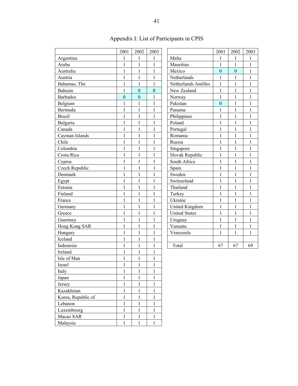|                         | 2001              | 2002                         | 2003              |                                     | 2001                         | 2002             | 2003                  |
|-------------------------|-------------------|------------------------------|-------------------|-------------------------------------|------------------------------|------------------|-----------------------|
| Argentina               | 1                 |                              | 1                 | Malta                               | 1                            | 1                | 1                     |
| Aruba                   | 1                 | 1<br>1                       | $\mathbf{1}$      | Mauritius                           | $\mathbf{1}$                 | 1                | 1                     |
| Australia               | 1                 | 1                            | $\mathbf{1}$      | Mexico                              | $\boldsymbol{0}$             | $\boldsymbol{0}$ | 1                     |
| Austria                 | $\mathbf{1}$      | $\mathbf{1}$                 | $\mathbf{1}$      | Netherlands                         | $\mathbf{1}$                 | $\mathbf{1}$     |                       |
|                         | $\mathbf{1}$      | $\mathbf{1}$                 | $\mathbf{1}$      |                                     | $\mathbf{1}$                 | $\mathbf{1}$     | $\mathbf{1}$<br>$\,1$ |
| Bahamas, The<br>Bahrain |                   | $\mathbf{0}$                 | $\overline{0}$    | Netherlands Antilles<br>New Zealand |                              |                  | $\mathbf{1}$          |
|                         | 1                 | $\mathbf{0}$                 |                   |                                     | $\mathbf{1}$                 | $\mathbf{1}$     | 1                     |
| <b>Barbados</b>         | $\boldsymbol{0}$  |                              | 1                 | Norway<br>Pakistan                  | 1                            | $\mathbf{1}$     | 1                     |
| Belgium<br>Bermuda      | 1<br>$\mathbf{1}$ | $\mathbf{1}$<br>$\mathbf{1}$ | 1<br>$\mathbf{1}$ |                                     | $\mathbf{0}$<br>$\mathbf{1}$ | 1<br>$\mathbf 1$ |                       |
|                         | $\mathbf{1}$      | $\mathbf{1}$                 | $\mathbf{1}$      | Panama                              | $\mathbf{1}$                 | $\mathbf{1}$     | 1<br>$\mathbf{1}$     |
| <b>Brazil</b>           |                   |                              |                   | Philippines                         |                              |                  |                       |
| Bulgaria                | $\mathbf{1}$      | $\mathbf{1}$                 | 1                 | Poland                              | $\mathbf{1}$                 | $\mathbf{1}$     |                       |
| Canada                  | $\mathbf{1}$      | $\mathbf{1}$                 | $\mathbf{1}$      | Portugal                            | $\mathbf{1}$                 | $\mathbf{1}$     | 1                     |
| Cayman Islands          | $\mathbf{1}$      | $\mathbf{1}$                 | 1                 | Romania                             | $\mathbf{1}$                 | $\mathbf{1}$     | 1<br>1                |
| Chile                   | $\mathbf{1}$      | $\mathbf{1}$                 | $\mathbf{1}$      | Russia                              | $\mathbf{1}$                 | $\mathbf{1}$     | $\mathbf{1}$          |
| Colombia                | 1                 | 1                            | 1                 | Singapore                           | $\mathbf{1}$                 | $\mathbf{1}$     |                       |
| Costa Rica              | $\mathbf{1}$      | $\mathbf{1}$                 | 1                 | Slovak Republic                     | $\mathbf{1}$                 | $\mathbf{1}$     |                       |
| Cyprus                  | $\mathbf{1}$      | 1                            | $\mathbf{1}$      | South Africa                        | $\mathbf{1}$                 | $\mathbf{1}$     |                       |
| Czech Republic          | $\mathbf{1}$      | $\mathbf{1}$                 | 1                 | Spain                               | $\mathbf{1}$                 | 1                |                       |
| Denmark                 | $\mathbf{1}$      | $\mathbf{1}$                 | 1                 | Sweden                              | $\mathbf{1}$                 | 1                |                       |
| Egypt                   | 1                 | $\mathbf{1}$                 | $\mathbf{1}$      | Switzerland                         | $\mathbf{1}$                 | $\mathbf{1}$     |                       |
| Estonia                 | $\,1$             | $\mathbf{1}$                 | $\mathbf{1}$      | Thailand                            | $\mathbf{1}$                 | $\mathbf{1}$     |                       |
| Finland                 | $\mathbf{1}$      | $\mathbf{1}$                 | $\mathbf{1}$      | Turkey                              | $\mathbf{1}$                 | $\mathbf{1}$     |                       |
| France                  | $\mathbf{1}$      | $\mathbf{1}$                 | $\mathbf{1}$      | Ukraine                             | $\mathbf{1}$                 | $\mathbf{1}$     |                       |
| Germany                 | $\mathbf{1}$      | $\mathbf{1}$                 | $\mathbf{1}$      | United Kingdom                      | $\mathbf{1}$                 | $\mathbf 1$      |                       |
| Greece                  | $\mathbf{1}$      | $\mathbf{1}$                 | $\mathbf{1}$      | <b>United States</b>                | $\mathbf{1}$                 | $\mathbf{1}$     |                       |
| Guernsey                | $\,1$             | $\mathbf{1}$                 | 1                 | Uruguay                             | $\mathbf{1}$                 | 1                |                       |
| Hong Kong SAR           | 1                 | 1                            | 1                 | Vanuatu                             | 1                            | 1                |                       |
| Hungary                 | $\mathbf{1}$      | $\mathbf{1}$                 | $\mathbf{1}$      | Venezuela                           | $\mathbf{1}$                 | $\mathbf{1}$     |                       |
| Iceland                 | $\mathbf{1}$      | $\mathbf{1}$                 | $\mathbf{1}$      |                                     |                              |                  |                       |
| Indonesia               | $\mathbf{1}$      | $\mathbf{1}$                 | $\mathbf{1}$      | Total                               | 67                           | 67               | 69                    |
| Ireland                 | $\mathbf{1}$      | $\mathbf{1}$                 | $\mathbf{1}$      |                                     |                              |                  |                       |
| Isle of Man             | 1                 | 1                            | $\mathbf{1}$      |                                     |                              |                  |                       |
| Israel                  | $\,1$             | $\,1$                        | $\mathbf{1}$      |                                     |                              |                  |                       |
| Italy                   | $\mathbf{1}$      | $\mathbf{1}$                 | $\mathbf{1}$      |                                     |                              |                  |                       |
| Japan                   | $\,1$             | 1                            | $\mathbf{1}$      |                                     |                              |                  |                       |
| Jersey                  | $\mathbf{1}$      | 1                            | $\mathbf{1}$      |                                     |                              |                  |                       |
| Kazakhstan              | $\mathbf{1}$      | 1                            | $\mathbf{1}$      |                                     |                              |                  |                       |
| Korea, Republic of      | $\mathbf{1}$      | $\mathbf{1}$                 | $\mathbf{1}$      |                                     |                              |                  |                       |
| Lebanon                 | $\,1$             | $\mathbf{1}$                 | $\mathbf{1}$      |                                     |                              |                  |                       |
| Luxembourg              | $\mathbf{1}$      | 1                            | $\mathbf{1}$      |                                     |                              |                  |                       |
| Macao SAR               | $\,1$             | $\mathbf{1}$                 | $\mathbf{1}$      |                                     |                              |                  |                       |
| Malaysia                | $\mathbf{1}$      | $\mathbf{1}$                 | $\mathbf{1}$      |                                     |                              |                  |                       |

# Appendix I: List of Participants in CPIS

|                       | 2001           | 2002           | 2003         |
|-----------------------|----------------|----------------|--------------|
| Malta                 | 1              | 1              | 1            |
| Mauritius             | $\mathbf{1}$   | $\overline{1}$ | $\mathbf{1}$ |
| Mexico                | $\overline{0}$ | $\overline{0}$ | 1            |
| Netherlands           | $\mathbf{1}$   | $\mathbf{1}$   | $\mathbf{1}$ |
| Netherlands Antilles  | $\mathbf{1}$   | $\mathbf{1}$   | $\mathbf{1}$ |
| New Zealand           | $\mathbf{1}$   | 1              | $\mathbf{1}$ |
| Norway                | $\mathbf{1}$   | $\mathbf{1}$   | $\mathbf{1}$ |
| Pakistan              | $\overline{0}$ | $\mathbf{1}$   | $\mathbf{1}$ |
| Panama                | $\mathbf{1}$   | $\mathbf{1}$   | 1            |
| Philippines           | $\mathbf{1}$   | $\mathbf{1}$   | $\mathbf{1}$ |
| Poland                | $\mathbf{1}$   | 1              | 1            |
| Portugal              | $\mathbf{1}$   | $\mathbf{1}$   | $\mathbf{1}$ |
| Romania               | $\mathbf{1}$   | $\mathbf{1}$   | $\mathbf{1}$ |
| Russia                | $\mathbf{1}$   | $\mathbf{1}$   | $\mathbf{1}$ |
| Singapore             | $\overline{1}$ | $\mathbf{1}$   | $\mathbf{1}$ |
| Slovak Republic       | $\mathbf{1}$   | $\mathbf{1}$   | $\mathbf{1}$ |
| South Africa          | $\overline{1}$ | $\mathbf{1}$   | $\mathbf{1}$ |
| Spain                 | $\mathbf{1}$   | $\mathbf{1}$   | $\mathbf{1}$ |
| Sweden                | $\mathbf{1}$   | $\mathbf 1$    | $\mathbf{1}$ |
| Switzerland           | $\mathbf{1}$   | $\mathbf{1}$   | $\mathbf{1}$ |
| Thailand              | $\overline{1}$ | 1              | $\mathbf{1}$ |
| Turkey                | $\mathbf{1}$   | $\mathbf{1}$   | $\mathbf{1}$ |
| Ukraine               | $\mathbf{1}$   | 1              | $\mathbf 1$  |
| <b>United Kingdom</b> | $\overline{1}$ | $\mathbf{1}$   | $\mathbf{1}$ |
| <b>United States</b>  | $\mathbf{1}$   | $\mathbf{1}$   | $\mathbf{1}$ |
| Uruguay               | $\mathbf{1}$   | $\mathbf{1}$   | $\mathbf{1}$ |
| Vanuatu               | $\mathbf{1}$   | 1              | $\mathbf{1}$ |
| Venezuela             | 1              | 1              | 1            |
|                       |                |                |              |
| Total                 | 67             | 67             | 69           |